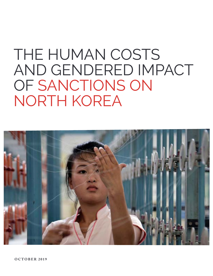# THE HUMAN COSTS AND GENDERED IMPACT OF SANCTIONS ON NORTH KOREA

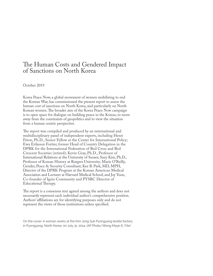#### The Human Costs and Gendered Impact of Sanctions on North Korea

#### October 2019

Korea Peace Now, a global movement of women mobilizing to end the Korean War, has commissioned the present report to assess the human cost of sanctions on North Korea, and particularly on North Korean women. The broader aim of the Korea Peace Now campaign is to open space for dialogue on building peace in the Koreas, to move away from the constraints of geopolitics and to view the situation from a human centric perspective.

The report was compiled and produced by an international and multidisciplinary panel of independent experts, including Henri Féron, Ph.D., Senior Fellow at the Center for International Policy; Ewa Eriksson Fortier, former Head of Country Delegation in the DPRK for the International Federation of Red Cross and Red Crescent Societies (retired); Kevin Gray, Ph.D., Professor of International Relations at the University of Sussex; Suzy Kim, Ph.D., Professor of Korean History at Rutgers University; Marie O'Reilly, Gender, Peace & Security Consultant; Kee B. Park, MD, MPH, Director of the DPRK Program at the Korean American Medical Association and Lecturer at Harvard Medical School; and Joy Yoon, Co-founder of Ignis Community and PYSRC Director of Educational Therapy.

The report is a consensus text agreed among the authors and does not necessarily represent each individual author's comprehensive position. Authors' affiliations are for identifying purposes only and do not represent the views of those institutions unless specified.

On the cover: A woman works at the Kim Jong Suk Pyongyang textile factory in Pyongyang, North Korea, on July 31, 2014. (AP Photo/Wong Maye-E, File)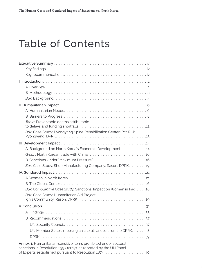# Table of Contents

| Table: Preventable deaths attributable                                                                                              |
|-------------------------------------------------------------------------------------------------------------------------------------|
|                                                                                                                                     |
| Box: Case Study: Pyongyang Spine Rehabilitation Center (PYSRC):                                                                     |
|                                                                                                                                     |
| A. Background on North Korea's Economic Development 14                                                                              |
|                                                                                                                                     |
|                                                                                                                                     |
| Box: Case Study: Shoe Manufacturing Company: Rason, DPRK 19                                                                         |
|                                                                                                                                     |
|                                                                                                                                     |
|                                                                                                                                     |
| Box: Comparative Case Study: Sanctions' Impact on Women in Iraq 28                                                                  |
| Box: Case Study: Humanitarian Aid Project,                                                                                          |
|                                                                                                                                     |
|                                                                                                                                     |
|                                                                                                                                     |
|                                                                                                                                     |
|                                                                                                                                     |
| UN Member States imposing unilateral sanctions on the DPRK38                                                                        |
|                                                                                                                                     |
| Annex 1: Humanitarian-sensitive items prohibited under sectoral<br>sanctions in Resolution 2397 (2017), as reported by the UN Panel |
| of Experts established pursuant to Resolution 1874  40                                                                              |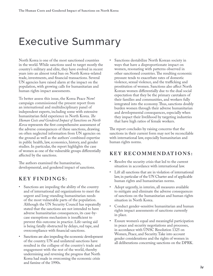### <span id="page-3-0"></span>Executive Summary

North Korea is one of the most sanctioned countries in the world. While sanctions used to target mostly the country's military and elite, they have evolved in recent years into an almost total ban on North Korea-related trade, investments, and financial transactions. Several UN agencies have raised alarm at the impact on the population, with growing calls for humanitarian and human rights impact assessments.

To better assess this issue, the Korea Peace Now! campaign commissioned the present report from an international and multidisciplinary panel of independent experts, including some with extensive humanitarian field experience in North Korea. *The Human Costs and Gendered Impact of Sanctions on North Korea* represents the first comprehensive assessment of the adverse consequences of these sanctions, drawing on often neglected information from UN agencies on the ground as well as the authors' combined expertise in public health, law, economics, history, and gender studies. In particular, the report highlights the case of women as one of the vulnerable groups differentially affected by the sanctions.

The authors examined the humanitarian, developmental, and gendered impact of sanctions.

### **KEY FINDINGS:**

- Sanctions are impeding the ability of the country and of international aid organizations to meet the urgent and long-standing humanitarian needs of the most vulnerable parts of the population. Although the UN Security Council has repeatedly stated that the sanctions are not intended to have adverse humanitarian consequences, its case-bycase exemptions mechanism is insufficient to prevent this outcome in practice. Life-saving aid is being fatally obstructed by delays, red tape, and overcompliance with financial sanctions.
- Sanctions are also impeding the economic development of the country. UN and unilateral sanctions have resulted in the collapse of the country's trade and engagement with the rest of the world, thereby undermining and reversing the progress that North Korea had made in overcoming the economic crisis and famine of the 1990s.

Sanctions destabilize North Korean society in ways that have a disproportionate impact on women, resonating with patterns observed in other sanctioned countries. The resulting economic pressure tends to exacerbate rates of domestic violence, sexual violence, and the trafficking and prostitution of women. Sanctions also affect North Korean women differentially due to the dual social expectation that they be the primary caretakers of their families and communities, and workers fully integrated into the economy. Thus, sanctions doubly burden women through their adverse humanitarian and developmental consequences, especially when they impact their livelihood by targeting industries that have high ratios of female workers.

The report concludes by raising concerns that the sanctions in their current form may not be reconcilable with international law, especially humanitarian and human rights norms.

#### **KE Y RECOMMENDATIONS:**

- Resolve the security crisis that led to the current situation in accordance with international law.
- Lift all sanctions that are in violation of international law, in particular of the UN Charter and of applicable human rights and humanitarian norms.
- Adopt urgently, in interim, all measures available to mitigate and eliminate the adverse consequences of sanctions on the humanitarian and human rights situation in North Korea.
- Conduct gender-sensitive humanitarian and human rights impact assessments of sanctions currently in place.
- Ensure women's equal and meaningful participation in peace and security negotiations and processes, in accordance with UNSC Resolution 1325 on Women, Peace, and Security. Take into account gender considerations and the rights of women in all deliberations concerning sanctions on the DPRK.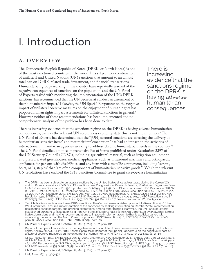### <span id="page-4-0"></span>I. Introduction

#### **A. OVERVIEW**

The Democratic People's Republic of Korea (DPRK, or North Korea) is one of the most sanctioned countries in the world. It is subject to a combination of unilateral and United Nations (UN) sanctions that amount to an almost total ban on DPRK-related trade, investment, and financial transactions.1 Humanitarian groups working in the country have repeatedly warned of the negative consequences of sanctions on the population, and the UN Panel of Experts tasked with monitoring the implementation of the UN's DPRK sanctions<sup>2</sup> has recommended that the UN Secretariat conduct an assessment of their humanitarian impact.3 Likewise, the UN Special Rapporteur on the negative impact of unilateral coercive measures on the enjoyment of human rights has proposed human rights impact assessments for unilateral sanctions in general.<sup>4</sup> However, neither of these recommendations has been implemented and no comprehensive analysis of the problem has been done to date.

There is increasing evidence that the sanctions regime on the DPRK is having adverse humanitarian consequences.

There is increasing evidence that the sanctions regime on the DPRK is having adverse humanitarian consequences, even as the relevant UN resolutions explicitly state this is not the intention.5 The UN Panel of Experts has determined that the "[UN] sectoral sanctions are affecting the delivery of humanitarian-sensitive items" and that their implementation "has had an impact on the activities of international humanitarian agencies working to address chronic humanitarian needs in the country."6 The UN Panel detailed a non-comprehensive list of items prohibited under Resolution 2397 of the UN Security Council (UNSC), including agricultural material, such as irrigation equipment and prefabricated greenhouses; medical appliances, such as ultrasound machines and orthopaedic appliances for persons with disabilities; and any item with a metallic component, including "screws, bolts, nails, staples" that "are often components of humanitarian-sensitive goods."7 While the relevant UN resolutions have enabled the 1718 Sanctions Committee to grant case-by-case humanitarian

- 1 The DPRK has been subject to unilateral sanctions by the United States since at least 1950 during the Korean War, and to UN sanctions since 2006. For U.S. sanctions, see Congressional Research Service, *North Korea: Legislative Basis*  for U.S. Economic Sanctions, R41438 (updated Jun. 6, 2019) p. 14, f. 51.. For UN sanctions, see UNSC Resolution 1718, S/<br>RES/1718, Oct. 14, 2006; UNSC Resolution 1874, S/RES/1874, Jun. 12, 2009; UNSC Resolution 2087, S/RES 22, 2013; UNSC Resolution 2094, S/RES/2094, Mar. 7, 2013; UNSC Resolution 2270, S/RES/2270, Mar. 2, 2016; UNSC Resolution 2321, S/RES/2321, Nov. 30, 2016; UNSC Resolution 2371, S/RES/2371, Aug. 5, 2017; UNSC Resolution 2375, S/ RES/2375, Sep. 11, 2017; UNSC Resolution 2397, S/RES/2397, Dec. 22, 2017. See also subsection I.C., "Background."
- 2 Two UN bodies specifically address DPRK sanctions. The Committee established pursuant to Resolution 1718 ("the 1718 Committee") ensures implementation of the sanctions by seeking information on Member State implementation, designating sanction targets, and granting exemptions, among other things. Meanwhile, the UN Panel of Experts established pursuant to Resolution 1874 ("the UN Panel of Experts") assists the 1718 Committee by analyzing Member State submissions and making recommendations to improve implementation. Neither is explicitly tasked with monitoring the impact on the North Korean population. UNSC Resolution 1718, S/RES/1718 (2006), Oct. 14, 2006, para. 12; UNSC Resolution 1874, S/RES/1874 (2009), para. 26.
- 3 UN Panel of Experts Report, S/2019/171, Mar. 5, 2019, p. 67, para. 180.
- 4 Report of the Special Rapporteur on the negative impact of unilateral coercive measures on the enjoyment of human rights, A/HRC/36/44, Jul. 26, 2017, Annex II, para. 13(a); Report of the Special Rapporteur on the negative impact of unilateral coercive measures on the enjoyment of human rights, A/HRC/39/54, Aug. 30, 2018, paras. 14–19.
- 5 UNSC Resolution 1874, S/RES/1874, Jun. 12, 2009, preamble; UNSC Resolution 2087, S/RES/2087, Jan. 22, 2013, para. 18; UNSC Resolution 2094, S/RES/2094, Mar. 7, 2013, para. 31; UNSC Resolution 2270, S/RES/2270, Mar. 2, 2016, para. 48; UNSC Resolution 2321, S/RES/2321, Nov. 30, 2016, para. 46; UNSC Resolution 2371, S/RES/2371, Aug. 5, 2017, para. 26; UNSC Resolution 2375, S/RES/2375, Sep. 11, 2017, para. 26; UNSC Resolution 2397, S/RES/2397, Dec. 22, 2017, para. 25.
- 6 UN Panel of Experts Report, S/2019/171, Mar. 5, 2019, p. 67, para. 176.
- 7 Ibid., Annex 87, pp. 369–372.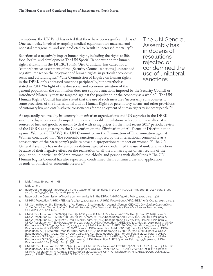exemptions, the UN Panel has noted that there have been significant delays.<sup>8</sup> One such delay involved exempting medical equipment for maternal and neonatal emergencies, and was predicted to "result in increased mortality."9

Sanctions also negatively impact human rights, including the rights to life, food, health, and development. The UN Special Rapporteur on the human rights situation in the DPRK, Tomás Ojea Quintana, has called for a "comprehensive assessment of the [Security Council sanctions'] unintended negative impact on the enjoyment of human rights, in particular economic, social and cultural rights."<sup>10</sup> The Commission of Inquiry on human rights in the DPRK only addressed sanctions peripherally, but nevertheless stated in 2014: "In light of the dire social and economic situation of the

The UN General Assembly has in dozens of resolutions rejected or condemned the use of unilateral sanctions.

general population, the commission does not support sanctions imposed by the Security Council or introduced bilaterally that are targeted against the population or the economy as a whole."11 The UN Human Rights Council has also stated that the use of such measures "necessarily runs counter to some provisions of the International Bill of Human Rights or peremptory norms and other provisions of customary law, and entails adverse consequences for the enjoyment of human rights by innocent people."12

As repeatedly reported by in-country humanitarian organizations and UN agencies in the DPRK, sanctions disproportionately impact the most vulnerable populations, who do not have alternative sources of fuel and goods, or means to deal with rising prices. In the most recent 2017 periodic review of the DPRK as signatory to the Convention on the Elimination of All Forms of Discrimination against Women (CEDAW), the UN Committee on the Elimination of Discrimination against Women concluded that "the economic sanctions imposed by the international community as a consequence of the State party's policies have a disproportionate impact on women."13 The UN General Assembly has in dozens of resolutions rejected or condemned the use of unilateral sanctions because of their negative effect on the realization of all the human rights of vast sectors of the population, in particular children, women, the elderly, and persons with disabilities.14 The UN Human Rights Council has also repeatedly condemned their continued use and application as tools of political or economic pressure.15

- 8 Ibid., Annex 86, pp. 363–368.
- 9 Ibid., p. 365.
- 10 Report of the Special Rapporteur on the situation of human rights in the DPRK, A/72/394, Sep. 18, 2017, para. 6; see also id., A/73/386, Sep. 19, 2018, paras. 20, 21.
- 11 Report of the Commission of Inquiry on human rights in the DPRK, A/HRC/25/63, Feb. 7, 2014, para. 94(a) .
- 12 UNHRC Resolution A/HRC/RES/34/13, Apr. 7, 2017, para. 5; UNHRC Resolution A/HRC/RES/30/2, Oct. 12, 2015, para. 4.
- 13 UN Committee on the Elimination of All Forms of Discrimination against Women [CEDAW], *Concluding Observations on the Combined Second to Fourth Periodic Reports of the Democratic People's Republic of Korea*, Nov. 22, 2017 (CEDAW/C/PRK/CO/2-4), p. 2.
- 14 UNGA Resolution A/RES/71/193, Dec. 19, 2016, para. 6; UNGA Resolution A/RES/70/151, Dec. 17, 2015, para. 6; UNGA Resolution A/RES/69/180, Jan. 30, 2015, para. 6; UNGA Resolution A/RES/68/162, Dec. 18, 2013, para. 5; UNGA Resolution A/RES/67/170, Dec. 20, 2012, para. 5; UNGA Resolution A/RES/66/156, Mar. 20, 2012, para. 4; UNGA Resolution A/RES/65/217, Apr. 6, 2011, para. 4; UNGA Resolution A/RES/64/170, Mar. 24, 2010, para. 4; UNGA Resolution A/RES/63/179, Mar. 26, 2009, para. 4; UNGA Resolution, A/RES/62/162, Dec. 18, 2007, para. 4; UNGA Resolution, A/RES/61/170, Feb. 27, 2007, para. 4; UNGA Resolution A/RES/60/155, Feb. 23, 2006, para. 4; UNGA Resolution, A/RES/59/188, Mar. 15, 2005, para. 4; UNGA Resolution A/RES/58/171, Mar. 9, 2004, para. 4; UNGA Resolution A/RES/57/222, Feb. 27, 2003, para. 4; UNGA Resolution A/RES/56/148, Feb. 8, 2002, para. 3; UNGA Resolution A/RES/55/110, Mar. 13, 2001, para. 3; UNGA Resolution A/RES/54/172, Feb. 15, 2000, para. 2; UNGA Resolution A/RES/53/141, Mar. 8, 1999, para. 2; UNGA Resolution A/RES/52/120, Feb. 23, 1998, para. 2; UNGA Resolution A/RES/51/103, Mar. 3, 1997, para. 2.
- 15 UNHRC Resolution A/HRC/RES/34/13, para. 4; UNHRC Resolution A/HRC/RES/30/2, Oct. 12, 2015, para. 3; UNHRC Resolution A/HRC/RES/27/21, Oct. 3, 2014, para. 3; UNHRC Resolution A/HRC/RES/24/14, Oct. 8, 2013, para.3; UNHRC Resolution A/HRC/RES/19/32, Apr. 18, 2012, para. 3; UNHRC Resolution A/HRC/RES/15/24, Oct. 6, 2010, <br>para. 3; UNHRC Resolution A/HRC/RES/12/22, Oct. 12, 2009.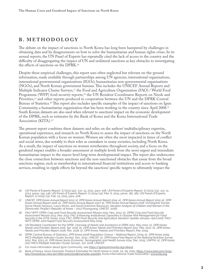#### <span id="page-6-0"></span>**B. METHODOLOGY**

The debate on the impact of sanctions in North Korea has long been hampered by challenges in obtaining data and by disagreements on how to solve the humanitarian and human rights crises. In its annual reports, the UN Panel of Experts has repeatedly cited the lack of access to the country and the difficulty of disaggregating the impact of UN and unilateral sanctions as key obstacles to investigating the effects of sanctions on the DPRK.16

Despite these empirical challenges, this report uses often neglected but relevant on-the-ground information, made available through partnerships among UN agencies, international organizations, international governmental organizations (IGOs), humanitarian non-governmental organizations (NGOs), and North Korean government bureaus. This includes the UNICEF Annual Reports and Multiple Indicator Cluster Surveys,17 the Food and Agriculture Organization (FAO) / World Food Programme (WFP) food security reports,18 the UN Resident Coordinator Reports on Needs and Priorities,<sup>19</sup> and other reports produced in cooperation between the UN and the DPRK Central Bureau of Statistics.20 This report also includes specific examples of the impact of sanctions on Ignis Community, a humanitarian organization that has been working in the country since April 2008.21 South Korean datasets are also used when relevant to sanctions' impact on the economic development of the DPRK, such as estimates by the Bank of Korea and the Korea International Trade Association (KITA).22

The present report combines these datasets and relies on the authors' multidisciplinary expertise, operational experience, and research on North Korea to assess the impact of sanctions on the North Korean population with a focus on women. Women are often the most impacted in times of conflict and social stress, due notably to their roles as caretakers in many societies, including North Korea. As a result, the impact of sanctions on women reverberates throughout society, and a focus on the gendered impact enables a broader assessment at multiple levels from the most urgent and immediate humanitarian impact to the macro-level long-term developmental impact. The report also underscores the close connection between sanctions and the non-sanctioned obstacles that ensue from the broad sanctions regime, such as membership in international financial institutions and access to banking services, resulting in ripple effects far beyond the sanctions' specific targets to ultimately impact the

- 17 UNICEF, *DPR Korea Annual Report 2013; id, DPR Korea Annual Report 2014; id., DPR Korea Annual Report 2015; id., DPR Korea Annual Report 2016; id., DPR Korea Annual Report 2017; id., DPR Korea Annual Report 2018*; Christopher Davids, Sylvie Morel-Seytoux, Laura Wicks, and David Solomon Bassiouni, *Situation Analysis of Children and Women in the Democratic People's Republic of Korea* – 2017 (Pyongyang: UNICEF, 2016).
- 18 FAO/WFP, DPRK *Crop and Food Security Assessment Mission 2012*, Nov. 2012; id., *DPRK Crop and Food Security*  Assessment Mission 2013, Nov. 2013; FAO, Enhancing Institutional Capacities in Disaster Risk Management for Food<br>Security in the D.P.R. Korea, 2014; FAO, DPRK Food Security and Agriculture Situation Update January–April 20
- 19 UN Resident Coordinator for the DPRK, *Overview of Needs and Assistance in DPRK 2012*, May 2012; id., *DPR Korea: Needs and Priorities Report 2016, Apr. 2016*; id., *DPR Korea: Needs and Priorities Report 2017*, Mar. 2017; id., *DPR Korea: Needs and Priorities Report* 2018, Mar. 2018; id., DPR Korea: Needs and Priorities Report, Mar. 2019.
- 20 DPRK Central Bureau of Statistics, *DPR Korea 2008 Population Census National Report*, 2009; id., *DPR Korea 2009 MICS (Multiple Indicator Cluster Survey)*, Dec. 2010, UNICEF; id., *DPR Korea Final Report of the National Nutrition Survey 2012*, Mar. 2013; id., *DPR Korea Socio-Economic, Demographic and Health Survey 2014*, Dec. 2015, UNFPA; id., *DPR Korea 2017 MICS (Multiple Indicator Cluster Survey*), Jun. 2018, UNICEF.
- 21 For more information about Ignis Community, see <https://igniscommunity.org/about>.
- 22 Bank of Korea, Gross Domestic Product Estimates for North Korea in 2018, Jul. 26, 2019, [https://www.bok.or.kr/eng/](https://www.bok.or.kr/eng/bbs/E0000634/view.do?nttId=10053001&menuNo=40006) [bbs/E0000634/view.do?nttId=10053001&menuNo=40006](https://www.bok.or.kr/eng/bbs/E0000634/view.do?nttId=10053001&menuNo=40006)9; Korea International Trade Association, [www.kita.org.](http://www.kita.org)

<sup>16</sup> UN Panel of Experts Report, S/2012/422, Jun. 14, 2012, para. 108; UN Panel of Experts Report, S/2013/337, Jun. 11, 2013, paras. 145, 146; UN Panel of Experts Report, S/2014/147, Mar. 6, 2014, paras. 181, 182; UN Panel of Experts Report, S/2015/131, Feb. 23, 2015, para. 208.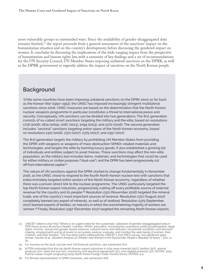<span id="page-7-0"></span>most vulnerable groups in unintended ways. Since the availability of gender-disaggregated data remains limited,<sup>23</sup> the report proceeds from a general assessment of the sanctions' impact on the humanitarian situation and on the country's development, before discussing the gendered impact on women. It concludes by discussing the implications of the wide-ranging impact from the perspective of humanitarian and human rights law, with a summary of key findings and a set of recommendations for the UN Security Council, UN Member States imposing unilateral sanctions on the DPRK, as well as the DPRK government to urgently address the impact of sanctions on the North Korean people.

#### **Background**

While some countries have been imposing unilateral sanctions on the DPRK since as far back as the Korean War (1950–1953), the UNSC has imposed increasingly stringent multilateral sanctions since 2006. UNSC measures are based on the determination that the North Korean nuclear weapons programme in particular constitutes a threat to international peace and security. Conceptually, UN sanctions can be divided into two generations. The first generation consists of so-called smart sanctions targeting the military and the elite, based on resolutions 1718 (2006), 1874 (2009), 2087 (2013), 2094 (2013), and 2270 (2016). The second generation includes "sectoral" sanctions targeting entire spans of the North Korean economy, based on resolutions 2321 (2016), 2371 (2017), 2375 (2017), and 2397 (2017).

The first generation targets the military by prohibiting UN Member States from providing the DPRK with weapons or weapons of mass destruction (WMD)–related materials and technologies, and targets the elite by banning luxury goods. It also established a growing list of individuals and entities subject to asset freezes. These sanctions may affect the non-elite population, as the military ban includes items, materials, and technologies that could be used for either military or civilian purposes ("dual-use"), and the DPRK has been progressively cut off from international capital.<sup>24</sup>

The nature of UN sanctions against the DPRK started to change fundamentally in November 2016, as the UNSC chose to respond to the fourth North Korean nuclear test with sanctions that indiscriminately targeted entire sectors of the North Korean economy, regardless of whether there was a proven direct link to the nuclear programme. The UNSC particularly targeted the top North Korean export industries, progressively cutting off every profitable source of external revenue for the country and its people.25 Resolution 2321 (November 2016) targeted the mineral trade, one of the country's most important sources of revenue. Resolution 2371 (August 2017) completely banned any export of minerals, as well as of seafood. Resolution 2375 (September 2017) banned exports of textiles, an industry in which the overwhelming majority of workers are women.<sup>26</sup> Finally, Resolution 2397 (December 2017) targeted the remaining North Korean exports,

<sup>23</sup> UNICEF noted in 2017 that "[t]here is an urgent need for the systematic collection of gender-disaggregated data in DPR Korea across all sectors (health, nutrition, WASH, education, humanitarian assistance, political participation, legal rights, income, sexual and gender-based violence, cultural norms and attitudes, household conditions and decisionmaking, employment) and at all levels to accurately analyze, evaluate, and monitor the well-being of women, their<br>children, and their families." This has been partly addressed by UNICEF's 2017 MICS survey, but significant remain. Davids et al., *Situation Analysis of Children and Women in the Democratic People's Republic of Korea – 2017*, p. 25.

<sup>24</sup> For sources on the dual-use ban and UN financial sanctions, see subsection III.A.

<sup>25</sup> KOTRA estimated that the top North Korean export industries in 2015 were minerals (50%), textiles (31%), animal products (4%), steel and iron (4%), machinery and electrical equipment (3%), and vegetal products (3%). KOTRA, 2015<br>Pukhan taeoe muyŏk tonghyang [2015 North Korea Foreign Trade Trends] (Seoul: KOTRA), p.4.

<sup>26</sup> For female representation in DPRK industries, see subsection III.B.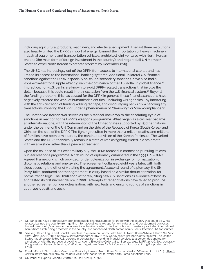including agricultural products, machinery, and electrical equipment. The last three resolutions also heavily limited the DPRK's import of energy; banned the importation of heavy machinery, industrial equipment, and transportation vehicles; prohibited joint ventures with North Korean entities (the main form of foreign investment in the country); and required all UN Member States to expel North Korean expatriate workers by December 2019.

The UNSC has increasingly cut off the DPRK from access to international capital, and has limited its access to the international banking system.27 Additional unilateral U.S. financial sanctions against the DPRK, especially so-called secondary sanctions, have also had a wide extra-territorial ripple effect, given the dominance of the U.S. dollar in global finance.<sup>28</sup> In practice, non-U.S. banks are known to avoid DPRK-related transactions that involve the dollar, because this could result in their exclusion from the U.S. financial system.<sup>29</sup> Beyond the funding problems this has caused for the DPRK in general, these financial sanctions have negatively affected the work of humanitarian entities—including UN agencies—by interfering with the administration of funding, adding red tape, and discouraging banks from handling any transactions involving the DPRK under a phenomenon of "de-risking" or "over-compliance."30

The unresolved Korean War serves as the historical backdrop to the escalating cycle of sanctions in reaction to the DPRK's weapons programme. What began as a civil war became an international one, with the intervention of the United States supported by 15 other nations under the banner of the UN Command on the side of the Republic of Korea (South Korea), and China on the side of the DPRK. The fighting resulted in more than 4 million deaths, and millions of families have been torn apart by the continued division of the Korean Peninsula. The United States and the DPRK technically remain in a state of war, as fighting ended in a stalemate, with an armistice rather than a peace agreement.

Upon the collapse of its Soviet military ally, the DPRK focused in earnest on pursuing its own nuclear weapons programme. A first round of diplomacy culminated in the 1994 U.S.–DPRK Agreed Framework, which provided for denuclearization in exchange for normalization of diplomatic relations and energy aid. The agreement collapsed eight years later, with both sides accusing the other of violating the agreement. A second round of diplomacy, the Six-Party Talks, produced another agreement in 2005, based on a similar denuclearization-fornormalization logic. The DPRK soon withdrew, citing new U.S. sanctions as evidence of hostility, and tested its first nuclear device in 2006. Attempts at renegotiations have failed to produce another agreement on denuclearization, with new tests and ensuing rounds of sanctions in 2009, 2013, 2016, and 2017.

<sup>27</sup> UN sanctions have progressively prohibited public financial support for trade with the country that could be WMDrelated, banned the country from getting international loans except for humanitarian and development purposes, limited the country's access to the international banking system, blocked bulk cash transfers, prohibited international banks from establishing a foothold in the country, and sanctioned North Korean banks. See subsection III.A. for sources.

<sup>28</sup> See, e.g., David Lague and Donald Greenless, "Squeeze on Banco Delta Asia Hit North Korea Where It Hurt," *The New*  York Times, Jan. 18, 2007, https://www.nytimes.com/2007/01/18/world/asia/18iht-north.4255039.html. The United<br>States has since prohibited U.S. persons in general from providing financial services to a person designated for sanctions or with the purpose of evading sanctions. Executive Order 13810, Sep. 20, 2017, 82 F.R. 44706. See, generally, Congressional Research Service, *North Korea: Legislative Basis for U.S. Economic Sanctions*, R41438 (updated Jun. 6, 2019).

<sup>29</sup> Chad O'Carroll, "An Insider's View: How Banks Try to Avoid North Korea Sanctions Risks," *NK News*, Jul. 11, 2019, [https://](https://www.nknews.org/2019/07/an-insiders-view-how-banks-try-to-avoid-north-korea-sanctions-risks) [www.nknews.org/2019/07/an-insiders-view-how-banks-try-to-avoid-north-korea-sanctions-risks](https://www.nknews.org/2019/07/an-insiders-view-how-banks-try-to-avoid-north-korea-sanctions-risks).

<sup>30</sup> UN Panel of Experts Report, S/2019/171, Mar. 5, 2019, p. 362.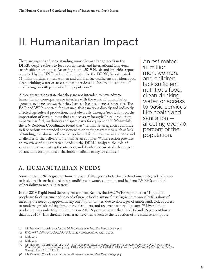### <span id="page-9-0"></span>II. Humanitarian Impact

There are urgent and long-standing unmet humanitarian needs in the DPRK, despite efforts to focus on domestic and international long-term sustainable programmes. According to the 2019 Needs and Priorities report compiled by the UN Resident Coordinator for the DPRK, "an estimated 11 million ordinary men, women and children lack sufficient nutritious food, clean drinking water or access to basic services like health and sanitation" —affecting over 40 per cent of the population.31

Although sanctions state that they are not intended to have adverse humanitarian consequences or interfere with the work of humanitarian agencies, evidence shows that they have such consequences in practice. The FAO and WFP reported, for instance, that sanctions directly and indirectly affected agricultural production, most obviously through "restrictions on the importation of certain items that are necessary for agricultural production, in particular fuel, machinery and spare parts for equipment."32 Meanwhile, the UN Resident Coordinator found that "humanitarian agencies continue to face serious unintended consequences on their programmes, such as lack of funding, the absence of a banking channel for humanitarian transfers and challenges to the delivery of humanitarian supplies."33 This section provides an overview of humanitarian needs in the DPRK, analyzes the role of sanctions in exacerbating the situation, and details in a case study the impact of sanctions on a proposed charitable medical facility for children.

An estimated 11 million men, women, and children lack sufficient nutritious food, clean drinking water, or access to basic services like health and sanitation affecting over 40 percent of the population.

#### **A . H U M A N I TA RI A N N EED S**

Some of the DPRK's greatest humanitarian challenges include chronic food insecurity; lack of access to basic health services; declining conditions in water, sanitation, and hygiene (WaSH); and high vulnerability to natural disasters.

In the 2019 Rapid Food Security Assessment Report, the FAO/WFP estimate that "10 million people are food insecure and in need of urgent food assistance"34 as "agriculture annually falls short of meeting the needs by approximately one million tonnes, due to shortages of arable land, lack of access to modern agricultural equipment and fertilizers, and recurrent natural disasters."35 Overall food production was only 4.95 million tons in 2018, 9 per cent lower than in 2017 and 16 per cent lower than in 2016.36 This threatens earlier achievements such as the reduction of the child stunting rate

<sup>31</sup> UN Resident Coordinator for the DPRK, *Needs and Priorities Report 2019*, p. 3.

<sup>32</sup> FAO/WFP, *DPR Korea Rapid Food Security Assessment May 201*9, p. 14.

<sup>33</sup> Ibid., p. 9.

<sup>34</sup> Ibid., p. 4.

<sup>35</sup> UN Resident Coordinator for the DPRK, *Needs and Priorities Report 2019*, p. 5. See also FAO/WFP, *DPR Korea Rapid Food Security Assessment May 2019*; DPRK Central Bureau of Statistics, *DPR Korea 2017 MICS (Multiple Indicator Cluster Survey*), Jun. 2018, UNICEF.

<sup>36</sup> UN Resident Coordinator for the DPRK, *Needs and Priorities Report 2019*, p. 5.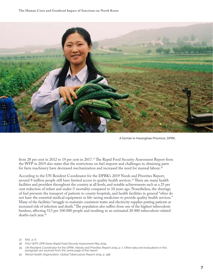

A farmer in Hwanghae Province, DPRK.

from 28 per cent in 2012 to 19 per cent in 2017.37 The Rapid Food Security Assessment Report from the WFP in 2019 also states that the restrictions on fuel imports and challenges in obtaining parts for farm machinery have decreased mechanization and increased the need for manual labour.<sup>38</sup>

According to the UN Resident Coordinator for the DPRK's 2019 Needs and Priorities Report, around 9 million people still have limited access to quality health services.39 There are many health facilities and providers throughout the country at all levels, and notable achievements such as a 25 per cent reduction of infant and under-5 mortality compared to 10 years ago. Nonetheless, the shortage of fuel prevents the transport of patients to county hospitals, and health facilities in general "often do not have the essential medical equipment or life-saving medicines to provide quality health services." Many of the facilities "struggle to maintain consistent water and electricity supplies putting patients at increased risk of infection and death." The population also suffers from one of the highest tuberculosis burdens, affecting 513 per 100 000 people and resulting in an estimated 20 000 tuberculosis-related deaths each year.<sup>40</sup>

- 37 Ibid., p. 6.
- 38 FAO/WFP, *DPR Korea Rapid Food Security Assessment May 2019*.
- 39 UN Resident Coordinator for the DPRK, Needs and Priorities Report 2019, p. 7. Other data and evaluations in this paragraph are sourced from the same page of the report.
- 40 World Health Organization, Global Tuberculosis Report 2019, p. 198.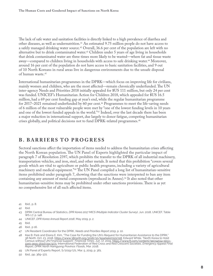<span id="page-11-0"></span>The lack of safe water and sanitation facilities is directly linked to a high prevalence of diarrhea and other diseases, as well as undernutrition.<sup>41</sup> An estimated 9.75 million people do not have access to a safely managed drinking water source.<sup>42</sup> Overall, 36.6 per cent of the population are left with no alternative but to drink contaminated water.43 Children under 5 years of age living in households that drink contaminated water are three times more likely to be wasted—where fat and tissue waste away—compared to children living in households with access to safe drinking water.44 Moreover, around 16 per cent of the population do not have access to basic sanitation facilities, and 9 out of 10 North Koreans in rural areas live in dangerous environments due to the unsafe disposal of human waste.45

International humanitarian programmes in the DPRK—which focus on improving life for civilians, mainly women and children, who are the most affected—remain chronically underfunded. The UN inter-agency Needs and Priorities 2018 initially appealed for \$US 111 million, but only 24 per cent was funded. UNICEF's Humanitarian Action for Children 2018, which appealed for \$US 16.5 million, had a 69 per cent funding gap at year's end, while the regular humanitarian programme for 2017–2021 remained underfunded by 60 per cent.<sup>46</sup> Programmes to meet the life-saving needs of 6 million of the most vulnerable people were met by "one of the lowest funding levels in 10 years and one of the lowest funded appeals in the world."47 Indeed, over the last decade there has been a major reduction in international support, due largely to donor fatigue, competing humanitarian crises globally, and political decisions not to fund DPRK-related programmes.48

#### **B. BARRIERS TO PROGRESS**

Sectoral sanctions affect the importation of items needed to address the humanitarian crises affecting the North Korean population. The UN Panel of Experts highlighted the particular impact of paragraph 7 of Resolution 2397, which prohibits the transfer to the DPRK of all industrial machinery, transportation vehicles, and iron, steel, and other metals. It noted that this prohibition "covers several goods which are vital to agriculture or public health programs, including a variety of agricultural machinery and medical equipment."49 The UN Panel compiled a long list of humanitarian-sensitive items prohibited under paragraph 7, showing that the sanctions were interpreted to ban any item containing any amount of metal components (reproduced in Annex).<sup>50</sup> It also noted that other humanitarian-sensitive items may be prohibited under other sanctions provisions. There is as yet no comprehensive list of all such affected items.

- 42 Ibid.
- 43 DPRK Central Bureau of Statistics, *DPR Korea 2017 MICS (Multiple Indicator Cluster Survey*), Jun. 2018, UNICEF, Table WS 1.7, p. 148
- 44 UNICEF, *DPR Korea Annual Report 2018*, May 2019, p. 2.
- 45 Ibid.
- 46 Ibid., p 16.
- 47 UN Resident Coordinator for the DPRK, *Needs and Priorities Report 2019*, p. 10.
- 48 Kee B. Park and Eliana E. Kim, "The Case for Funding the UN's Request for Humanitarian Assistance to the DPRK," *38 North*, Oct. 23, 2018, [https://www.38north.org/2018/10/kparkekim102318;](https://www.38north.org/2018/10/kparkekim102318) Edward White, "North Korea to Hold Census without UN Financial Support," *Financial Times*, Jun. 17, 2019, [https://www.ft.com/content/9ec94514-90cc-](https://www.ft.com/content/9ec94514-90cc-11e9-aea1-2b1d33ac3271)[11e9-aea1-2b1d33ac3271;](https://www.ft.com/content/9ec94514-90cc-11e9-aea1-2b1d33ac3271) International Federation of Red Cross and Red Crescent Societies, *Emergency Appeal Final Report, DPRK North Hamgyong Province: Flood*s, Mar. 2018.
- 49 UN Panel of Experts Report, S/2019/171, Mar. 5, 2019, p. 361.
- 50 Ibid., pp. 369–372.

<sup>41</sup> Ibid., p. 8.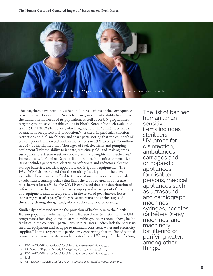

Thus far, there have been only a handful of evaluations of the consequences of sectoral sanctions on the North Korean government's ability to address the humanitarian needs of its population, as well as on UN programmes targeting the most vulnerable groups in North Korea. One such evaluation is the 2019 FAO/WFP report, which highlighted the "unintended impact of sanctions on agricultural production."51 It cited, in particular, sanction restrictions on fuel, machinery, and spare parts, noting that the country's oil consumption fell from 3.8 million metric tons in 1991 to only 0.75 million in 2017. It highlighted that "shortages of fuel, electricity and pumping equipment limit the ability to irrigate, reducing yields and making crops susceptible to extreme weather shocks, such as droughts and heatwaves." Indeed, the UN Panel of Experts' list of banned humanitarian-sensitive items includes generators, electric transformers and inductors, electric storage batteries, electrical apparatus, and irrigation equipment.52 The FAO/WFP also explained that the resulting "starkly diminished level of agricultural mechanization" led to the use of manual labour and animals as substitutes, causing delays that limit the cropped area and increase post-harvest losses.53 The FAO/WFP concluded that "the deterioration of infrastructure, reduction in electricity supply and wearing out of machinery and equipment undoubtedly results in the levels of post-harvest losses increasing year after year," as they have repercussions at the stages of threshing, drying, storage, and, where applicable, food processing.54

Similar dynamics undermine the provision of health care to the North Korean population, whether by North Korean domestic institutions or UN programmes focusing on the most vulnerable groups. As noted above, health facilities in the country—particularly in rural areas—often lack the necessary medical equipment and struggle to maintain consistent water and electricity supplies.<sup>55</sup> In this respect, it is particularly concerning that the list of banned humanitarian-sensitive items includes sterilizers, UV lamps for disinfection,

- 51 FAO/WFP, *DPR Korea Rapid Food Security Assessment May 2019*, p. 14.<br>52 UN Panel of Experts Report, S/2019/171, Mar. 5, 2019, pp. 369–372.
- 
- 53 FAO/WFP, *DPR Korea Rapid Food Security Assessment May 2019*, p. 14.

54 Ibid.

The list of banned humanitariansensitive items includes sterilizers, UV lamps for disinfection, ambulances, carriages and orthopaedic appliances for disabled persons, medical appliances such as ultrasound and cardiograph machines, syringes, needles, catheters, X-ray machines, and machinery for filtering or purifying water, among other<br>things.

<sup>55</sup> UN Resident Coordinator for the DPRK, *Needs and Priorities Report 2019*, p. 7.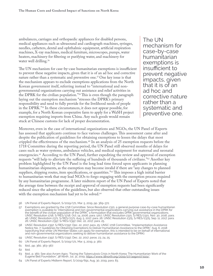ambulances, carriages and orthopaedic appliances for disabled persons, medical appliances such as ultrasound and cardiograph machines, syringes, needles, catheters, dental and ophthalmic equipment, artificial respiration machines, X-ray machines, medical furniture, microscopes, pumps, water heaters, machinery for filtering or purifying water, and machinery for water well drilling.<sup>56</sup>

The UN mechanism for case-by-case humanitarian exemptions is insufficient to prevent these negative impacts, given that it is of an ad hoc and corrective nature rather than a systematic and preventive one.57 One key issue is that the mechanism appears to exclude exemptions applications from the North Korean government itself, referring instead to "international and nongovernmental organizations carrying out assistance and relief activities in the DPRK for the civilian population."58 This is even though the paragraph laying out the exemption mechanism "stresses the DPRK's primary responsibility and need to fully provide for the livelihood needs of people in the DPRK."59 In these circumstances, it does not appear possible, for example, for a North Korean cooperative farm to apply for a WaSH project exemption requiring imports from China. Any such goods would remain stuck at Chinese customs for lack of proper documentation.

The UN mechanism for case-by-case humanitarian exemptions is insufficient to prevent negative impacts, given that it is of an ad hoc and corrective nature rather than a systematic and preventive one.

Moreover, even in the case of international organizations and NGOs, the UN Panel of Experts has assessed that applicants continue to face various challenges. This assessment came after and despite the publication of guidelines for obtaining exemptions to lessen the delays that most crippled the effectiveness of the mechanism.<sup>60</sup> In an analysis of 25 exemption requests before the 1718 Committee during the reporting period, the UN Panel still observed months of delays for cases such as water systems, ambulance vehicles, and medical equipment for maternal and neonatal emergencies.<sup>61</sup> According to the UN Panel, further expediting the review and approval of exemption requests "will help to alleviate the suffering of hundreds of thousands of civilians."62 Another key problem highlighted by the UN Panel is the long lead time forced upon applicants in planning humanitarian shipments, as the exemption may become invalid if there are "any changes to planned suppliers, shipping routes, item specifications, or quantities."63 This imposes a high initial barrier to humanitarian work that may lead NGOs to forgo engaging with the exemption process required by any humanitarian programme. A later midterm report of the UN Panel of Experts noted that the average time between the receipt and approval of exemption requests had been significantly reduced since the adoption of the guidelines, but also observed that other outstanding issues with the exemption mechanism had yet to be solved.<sup>64</sup>

- 56 UN Panel of Experts Report, S/2019/171, Mar. 5, 2019, pp. 369–372.
- 57 Exemptions are granted by the 1718 Committee. Since Resolution 2321, a general purpose case-by-case humanitarian exemption is available to "international and non-governmental organizations carrying out assistance in the DPRK for the benefit of the civilian population of the DPRK," a formulation that excludes DPRK governmental organizations. UNSC Resolution 1718, S/RES/1718, Oct. 14, 2006, para. 12(c); UNSC Resolution 2321, S/RES/2321, Nov. 30, 2016, para. 46; UNSC Resolution 2371, S/RES/2371, Aug. 5, 2017, para. 26; UNSC Resolution 2375, S/RES/2375, Sep. 11, 2017, para. 26; UNSC Resolution 2397, S/RES/2397, Dec. 22, 2017, para. 25.
- 58 UNSC Resolution 2397, S/RES/2397, Dec. 22, 2017, para. 25; UNSC 1718 Committee, "Implementation Assistance Notice No. 7: Guidelines for Obtaining Exemptions to Deliver Humanitarian Assistance to the DPRK," Aug. 6, 2018 (specifying that while UN Member States can apply for exemption, this is intended to be on behalf of international and non-governmental organizations seeking to deliver humanitarian assistance to the DPRK).
- 59 UNSC Resolution 2397, S/RES/2397, Dec. 22, 2017, paras. 23, 24, 25.
- 60 UN Panel of Experts Report, S/2019/171, Mar. 5, 2019, p. 360.
- 61 Ibid., pp. 360, 363–367.
- 62 Ibid.

64 UN Panel of Experts Midterm Report, S/2019/691, Aug. 30, 2019, para. 83.

<sup>63</sup> Ibid., p. 360. See also Avram Agov, "Facing the Tuberculosis Crisis in North Korea: The Humanitarian Work of the Eugene Bell Foundation," *38 North*, Jul. 31, 2019, <https://www.38north.org/2019/07/aagov073119/>.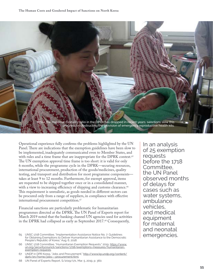

Operational experience fully confirms the problems highlighted by the UN Panel. There are indications that the exemption guidelines have been slow to be implemented, inadequately communicated even to Member States, and with rules and a time frame that are inappropriate for the DPRK context.<sup>65</sup> The UN exemption approval time frame is too short: it is valid for only 6 months, while the programme cycle in the DPRK—securing resources, international procurement, production of the goods/medicines, quality testing, and transport and distribution for most programme components takes at least 9 to 12 months. Furthermore, for exempt approval, items are requested to be shipped together once or in a consolidated manner, with a view to increasing efficiency of shipping and customs clearance.<sup>66</sup> This requirement is unrealistic, as goods needed in different sectors can be procured only from a range of suppliers, in compliance with effective international procurement competition.<sup>67</sup>

Financial sanctions are particularly problematic for humanitarian programmes directed at the DPRK. The UN Panel of Experts report for March 2019 noted that the banking channel UN agencies used for activities in the DPRK had collapsed as early as September 2017.<sup>68</sup> Consequently,

In an analysis of 25 exemption requests before the 1718 Committee, the UN Panel observed months of delays for cases such as water systems, ambulance vehicles, and medical equipment for maternal and neonatal

<sup>65</sup> UNSC 1718 Committee, "Implementation Assistance Notice No. 7: Guidelines **Frank Proper Proper Proper Proper Proper**<br>for Obtaining Exemptions to Deliver Humanitarian Assistance to the Democratic People's Republic of Korea," Aug. 6, 2018.

<sup>66</sup> UNSC 1718 Committee, "Humanitarian Exemption Requests," 2019, [https://www.](https://www.un.org/securitycouncil/sanctions/1718/exemptions-measures/humanitarian-exemption-requests) [un.org/securitycouncil/sanctions/1718/exemptions-measures/humanitarian](https://www.un.org/securitycouncil/sanctions/1718/exemptions-measures/humanitarian-exemption-requests)[exemption-requests](https://www.un.org/securitycouncil/sanctions/1718/exemptions-measures/humanitarian-exemption-requests).

<sup>67</sup> UNDP in DPR Korea, "Jobs and Procurement," [http://www.kp.undp.org/content/](http://www.kp.undp.org/content/dprk/en/home/jobs---procurement.html) [dprk/en/home/jobs---procurement.html](http://www.kp.undp.org/content/dprk/en/home/jobs---procurement.html).

<sup>68</sup> UN Panel of Experts Report, S/2019/171, Mar. 5, 2019, p. 360.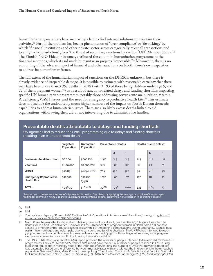<span id="page-15-0"></span>humanitarian organizations have increasingly had to find internal solutions to maintain their activities.69 Part of the problem has been a phenomenon of "over-compliance" or "de-risking," by which "financial institutions and other private-sector actors categorically reject all transactions tied to a high-risk jurisdiction" given "the threat of secondary sanctions by various [UN] Member States."70 The Finnish NGO Fida, for instance, attributed the end of its humanitarian programme to the financial sanctions, which it said made humanitarian projects "impossible."71 Meanwhile, there is no accounting of the adverse impact of financial and other sanctions on North Korea's own capacities to address its humanitarian issues.

The full extent of the humanitarian impact of sanctions on the DPRK is unknown, but there is already evidence of irreparable damage. It is possible to estimate with reasonable certainty that there may have been more than 3 968 deaths in 2018 (with 3 193 of those being children under age 5, and 72 of them pregnant women72) as a result of sanctions-related delays and funding shortfalls impacting specific UN humanitarian programmes, notably those addressing severe acute malnutrition, vitamin A deficiency, WaSH issues, and the need for emergency reproductive health kits.73 This estimate does not include the undoubtedly much higher numbers of the impact on North Korean domestic capabilities to address humanitarian issues. There are also likely excess deaths linked to aid organizations withdrawing their aid or not intervening due to administrative hurdles.

|                                                     | <b>Targeted</b><br>Population | Unreached<br>Population | <b>Preventable Deaths</b> |      | Deaths Due to delays' |     |     |     |
|-----------------------------------------------------|-------------------------------|-------------------------|---------------------------|------|-----------------------|-----|-----|-----|
|                                                     |                               |                         |                           | M    | E                     |     | M   | F   |
| <b>Severe Acute Malnutrition</b>                    | 60,000                        | 5000 (8%)               | 1650                      | 825  | 825                   | 223 | 112 | 112 |
| Vitamin A                                           | 1,600,000                     | 83,565 (5%)             | 343                       | 172  | 172                   | 46  | 23  | 23  |
| <b>WASH</b>                                         | 356,891                       | 91,891(26%)             | 703                       | 352  | 352                   | 95  | 48  | 48  |
| <b>Emergency Reproductive</b><br><b>Health Kits</b> | 341,500                       | 337,750<br>(99%)        | 1272                      | 600  | 672                   | 172 | 81  | 91  |
| <b>TOTAL</b>                                        | 2,358,391                     | 518,206                 | 3968                      | 1948 | 2020                  | 535 | 264 | 271 |

#### **Preventable deaths attributable to delays and funding shortfalls**

UN agencies had to reduce their 2018 programming due to delays and funding shortfalls, resulting in an estimated 3968 deaths.

"Deaths due to delays are a subset of all preventable deaths. Calculated by applying the average proportion of the year spent<br>waiting for exemption (99,365) to the total amount of preventable deaths, assuming a 50% reducti

69 Ibid.

70 Ibid.

71 Yonhap News Agency, "Finnish NGO Decides to Quit Operations in N. Korea amid Sanctions," Jun. 13, 2019, [https://](https://en.yna.co.kr/view/AEN20190613008800325) [en.yna.co.kr/view/AEN20190613008800325](https://en.yna.co.kr/view/AEN20190613008800325).

- North Korea has excellent antenatal and delivery care, and has already reached the 2030 target of less than 70 deaths for 100 000 live deliveries. However, in 2018, 99 per cent of pregnant women in North Korea did not have access to emergency reproductive kits to assist with life-threatening complications during pregnancy, such as postpartum haemorrhages and eclampsia, due to sanctions and funding shortfalls. The UNFPA had intended to reach 341 500 pregnant women last year, but reached only 1 per cent (3 750) of those targeted. As many as 72 pregnant women may have died as a result of not having these kits available.
- 73 The UN's DPRK *Needs and Priorities 2018* report provided the number of people intended to be reached by these UN programmes. The *DPRK Needs and Priorities 2019* report gave the actual number of people reached in 2018. Using<br>published reductions in mortality rates of the intended interventions, the number of lives that may have been was calculated based on the difference between mortality rates with and without the interventions in the unreached population. See Kee B. Park, Miles Kim, and Jessup Jong, "The Human Costs of UN Sanctions and Funding Shortfalls for Humanitarian Aid in North Korea," *38 North*, Aug. 22, 2019, <https://www.38north.org/2019/08/parkkimjong082219>.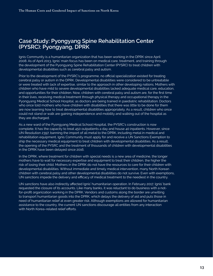#### <span id="page-16-0"></span>**Case Study: Pyongyang Spine Rehabilitation Center (PYSRC): Pyongyang, DPRK**

Ignis Community is a humanitarian organization that has been working in the DPRK since April 2008. As of April 2013, Ignis' main focus has been on medical care, treatment, and training through the development of the Pyongyang Spine Rehabilitation Center (PYSRC) to treat children with developmental disabilities such as cerebral palsy and autism.

Prior to the development of the PYSRC's programme, no official specialization existed for treating cerebral palsy or autism in the DPRK. Developmental disabilities were considered to be untreatable or were treated with lack of expertise, similar to the approach in other developing nations. Mothers with children who have mild to severe developmental disabilities lacked adequate medical care, education, and opportunities for their children. Now, children with cerebral palsy and autism are, for the first time in their lives, receiving medical treatment through physical therapy and occupational therapy in the Pyongyang Medical School Hospital, as doctors are being trained in paediatric rehabilitation. Doctors who once told mothers who have children with disabilities that there was little to be done for them are now learning how to treat developmental disabilities appropriately. As a result, children who once could not stand or walk are gaining independence and mobility and walking out of the hospital as they are discharged.

As a new ward of the Pyongyang Medical School Hospital, the PYSRC's construction is now complete. It has the capacity to treat 450 outpatients a day and house 40 inpatients. However, since UN Resolution 2397, banning the import of all metal to the DPRK, including metal in medical and rehabilitation equipment, Ignis Community must apply for and receive a UN Sanctions Exemption to ship the necessary medical equipment to treat children with developmental disabilities. As a result, the opening of the PYSRC and the treatment of thousands of children with developmental disabilities in the DPRK have been delayed since 2016.

In the DPRK, where treatment for children with special needs is a new area of medicine, the longer mothers have to wait for necessary expertise and equipment to treat their children, the higher the risk of losing their child. Mothers in the DPRK do not have the resources to care for their children with developmental disabilities. Without immediate and timely medical intervention, many North Korean children with cerebral palsy and other developmental disabilities do not survive. Even with exemptions, UN sanctions impede the delivery and efficacy of medical treatment to the neediest in the country.

UN sanctions have also indirectly affected Ignis' humanitarian operation. In February 2017, Ignis' bank requested the closure of its accounts. Like many banks, it was reluctant to do business with a notfor-profit organization working in the DPRK. Vendors and customs along the border are unwilling to transport humanitarian goods into the DPRK, which delays the delivery of aid and puts those in need of humanitarian relief at even greater risk. Although exemptions are allowed for humanitarian assistance to the country, the current UN sanctions discourage all entities from any interaction with North Korea-related relief efforts.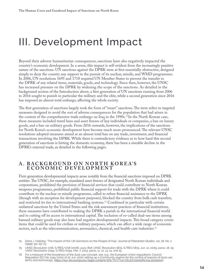### <span id="page-17-0"></span>III. Development Impact

Beyond their adverse humanitarian consequences, sanctions have also negatively impacted the country's economic development. In a sense, this impact is self-evident from the increasingly punitive nature of the sanctions. UN sanctions against the DPRK were at first essentially obstructive, designed simply to deny the country any support in the pursuit of its nuclear, missile, and WMD programmes. In 2006, UN resolutions 1695 and 1718 required UN Member States to prevent the transfer to the DPRK of any related items, materials, goods, and technology. Since then, however, the UNSC has increased pressure on the DPRK by widening the scope of the sanctions. As detailed in the background section of the Introduction above, a first generation of UN sanctions running from 2006 to 2016 sought to punish in particular the military and the elite, while a second generation since 2016 has imposed an almost total embargo, affecting the whole society.

The first generation of sanctions largely took the form of "smart" sanctions. The term refers to targeted measures designed to avoid the sort of adverse consequences for the population that had arisen in the context of the comprehensive trade embargo on Iraq in the 1990s.74 In the North Korean case, these measures included travel bans and asset freezes of key individuals or companies, a ban on luxury goods, and a ban on military goods. From 2016 onwards, however, the implications of the sanctions for North Korea's economic development have become much more pronounced. The relevant UNSC resolutions adopted measures aimed at an almost total ban on any trade, investment, and financial transactions involving the DPRK. While there is contradictory evidence as to how hard this second generation of sanctions is hitting the domestic economy, there has been a sizeable decline in the DPRK's external trade, as detailed in the following pages.

#### **A. B A C K G R O U N D O N N O R T H K O R E A' S ECONOMIC DEVELOPMENT**

First-generation developmental impacts arose notably from the financial sanctions imposed on DPRK entities. The UNSC, for example, mandated asset freezes of designated North Korean individuals and corporations, prohibited the provision of financial services that could contribute to North Korean weapons programmes, prohibited public financial support for trade with the DPRK where it could contribute to the nuclear or missile programme, called to refuse financial assistance to the DPRK (though with an exception for development purposes), blocked the country from bulk cash transfers, and restricted its ties to international banking systems.75 Combined in particular with certain unilateral sanctions by the United States and the risk assessment practices of financial institutions, these measures have contributed to making the DPRK a pariah in the international financial world and to cutting off its access to international capital.The inclusion of so-called dual-use items among banned military goods may also have had negative developmental impacts. This broad category covers items that could be used for civilian or military purposes, which can affect a wide range of economic sectors, such as the telecommunication, aeronautics, chemical, and health-care industries.<sup>76</sup>

<sup>74</sup> Denis J. Halliday, "The Impact of the UN Sanctions on the People of Iraq," *Journal of Palestinian Studies*, vol. 28, No. 2 (1999), pp. 29–73.

<sup>75</sup> UNSC Resolution 1718, S/RES/1718 (2006), para. 8(d); UNSC Resolution 1874, S/RES/1874, Jun. 12, 2009, paras. 18, 19; UNSC Resolution 2094, S/RES/2094, Mar. 7, 2013, paras. 11, 12, 13, 14, and 15.

<sup>76</sup> For a measure of the broadness of the dual-use concept, see, e.g., the European Union regulations: Council Regulation (EC) No 1334/2000 of 22 Jun. 2000 setting up a Community regime for the control of exports of dual-use items and technology, <https://eur-lex.europa.eu/legal-content/EN/TXT/?uri=CELEX:02000R1334-2009010>2.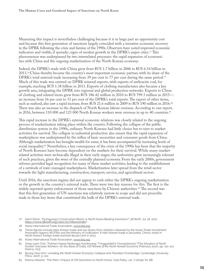Measuring this impact is nevertheless challenging because it is in large part an opportunity cost and because this first generation of sanctions largely coincided with a tentative economic recovery in the DPRK following the crisis and famine of the 1990s. Observers have noted improved economic indicators and visible, if sporadic, signs of modest growth in the DPRK's major cities.77 This phenomenon was underpinned by two interrelated processes: the rapid expansion of economic ties with China and the ongoing marketization of the North Korean economy.

Indeed, the DPRK's trade with China grew from \$US 1.7 billion in 2006 to \$US 6.54 billion in 2013.78 China thereby became the country's most important economic partner, with its share of the DPRK's total external trade increasing from 39 per cent to 77 per cent during the same period.<sup>79</sup> Much of this trade was centred on DPRK mineral exports, with exports of anthracite coal, for example, reaching \$US 1.38 billion in 2013. Exports of clothing manufactures also became a key growth area, integrating the DPRK into regional and global production networks. Exports to China of clothing and related items grew from \$US 186.42 million in 2010 to \$US 799.3 million in 2015 an increase from 16 per cent to 33 per cent of the DPRK's total exports. The export of other items, such as seafood, also saw a rapid increase, from \$US 21.6 million in 2009 to \$US 190 million in 2016.<sup>80</sup> There was also an increase in the dispatch of North Korean labour overseas. According to one report, in 2016, between 110 000 and 123 000 North Korean workers were overseas in up to 40 countries.<sup>81</sup>

This rapid increase in the DPRK's external economic relations was closely related to the ongoing process of marketization taking place within the country. Following the collapse of the public distribution system in the 1990s, ordinary North Koreans had little choice but to turn to market activities for survival. The collapse in industrial production also meant that the rapid expansion of marketplaces was underpinned by the influx of basic necessities and consumer goods from China. Although marketization has brought wealth for some, it has been accompanied by increasing levels of social inequality.<sup>82</sup> Nonetheless, a key consequence of the crisis of the 1990s has been that the majority of North Koreans have become dependent on the markets for their survival. While many marketrelated activities were technically illegal in their early stages, the authorities grew increasingly tolerant of such practices, given the woes of the centrally planned economy. From the early 2000s, government reforms provided legal recognition for many of these market activities, leading to the establishment of a network of state-managed marketplaces. Marketization later spread from the retail sector towards the light manufacturing, construction, transport, service, and agricultural sectors.

Until 2016, the sanctions regime did not appear to curb either the DPRK's ongoing marketization or the growth in the country's external trade. There were two key reasons for this. The first is the widely reported spotty enforcement of those sanctions by Chinese authorities.<sup>83</sup> The second was that this first generation of UN sanctions was relatively narrow in scope and did not proscribe trade in those key items that constituted the bulk of the DPRK's external trade.

- 78 Korea International Trade Association, [www.kita.org](http://www.kita.org).
- 79 These figures include inter-Korean trade and are drawn from statistics released by the Korea Trade-Investment Promotion Agency (KOTRA) and the Ministry of Unification. If inter-Korean trade is excluded, China's share in North Korea's foreign trade reached 89 per cent in 2013.
- 80 Korea International Trade Association, [www.kita.org](http://www.kita.org).
- 81 Yong-yoon Choi, "Pukhan Haeoe Nodongja Hyŏnhwang: T'onggyedeit'ŏ Chungshimŭro" [The Situation of North Korean Overseas Workers: On the Basis of Data], *KDI Review of the North Korean Econom*y (February 2017), pp. 101–121 (here p. 103).

<sup>77</sup> Henri Féron, "Pyongyang's Construction Boom: Is North Korea Beating Sanctions?" *38 North*, Jul. 18, 2017, <https://www.38north.org/2017/07/hferon07181>7.

<sup>82</sup> Byung-Yeon Kim, *Unveiling the North Korean Economy: Collapse and Transition (*Cambridge: Cambridge University<br>Press, 2017), p. 110.

<sup>83</sup> Marcus Noland, "The (Non-) Impact of UN Sanctions on North Korea," *Asia Policy*, vol. 7 (2009), 61–88.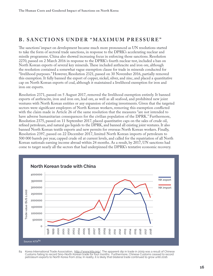#### <span id="page-19-0"></span>**B. SANCTIONS UNDER "MAXIMUM PRESSURE"**

The sanctions' impact on development became much more pronounced as UN resolutions started to take the form of sectoral trade sanctions, in response to the DPRK's accelerating nuclear and missile programme. China also showed increasing focus in enforcing those sanctions. Resolution 2270, passed on 2 March 2016 in response to the DPRK's fourth nuclear test, included a ban on North Korean exports of several key minerals. These included anthracite and iron ore, although the resolution contained a somewhat vague exemption clause for trade in minerals conducted for "livelihood purposes." However, Resolution 2321, passed on 30 November 2016, partially removed this exemption. It fully banned the export of copper, nickel, silver, and zinc, and placed a quantitative cap on North Korean exports of coal, although it maintained a livelihood exemption for iron and iron ore exports.

Resolution 2371, passed on 5 August 2017, removed the livelihood exemption entirely. It banned exports of anthracite, iron and iron ore, lead ore, as well as all seafood, and prohibited new joint ventures with North Korean entities or any expansion of existing investments. Given that the targeted sectors were significant employers of North Korean workers, removing this exemption conflicted with the claim made in Article 26 of the same resolution that the measures "are not intended to have adverse humanitarian consequences for the civilian population of the DPRK." Furthermore, Resolution 2375, passed on 11 September 2017, placed quantitative caps on the sales of crude oil, refined petroleum, and natural gas liquids to the DPRK, and banned all existing joint ventures. It also banned North Korean textile exports and new permits for overseas North Korean workers. Finally, Resolution 2397, passed on 22 December 2017, limited North Korean imports of petroleum to 500 000 barrels per year, capped crude oil at current levels, and called for the repatriation of all North Korean nationals earning income abroad within 24 months. As a result, by 2017, UN sanctions had come to target nearly all the sectors that had underpinned the DPRK's tentative economic recovery.



84 Korea International Trade Association, [http://www.kita.org/](http://www.kita.org). The apparent dip in trade in 2009 was a result of Chinese Customs failing to record Sino-North Korean trade for four months. Furthermore, Chinese Customs ceased to record petroleum exports to North Korea from 2014. In reality, it is likely that bilateral trade continued to grow until 2016.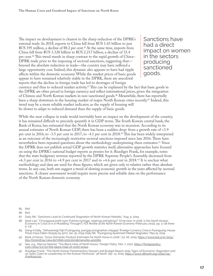The impact on development is clearest in the sharp reduction of the DPRK's external trade. In 2018, exports to China fell from \$US 1.65 billion to just \$US 195 million, a decline of 88.2 per cent.<sup>85</sup> At the same time, imports from China fell from \$US 3.328 billion to \$US 2.217 billion, a decline of 33.4 per cent.86 This trend stands in sharp contrast to the rapid growth of China– DPRK trade prior to the imposing of sectoral sanctions, suggesting that beyond the absolute reduction in trade—the country may have suffered a large opportunity cost. Indeed, this dynamic also appears to have had ripple effects within the domestic economy. While the market prices of basic goods appear to have remained relatively stable in the DPRK, there are anecdotal reports that the decline in foreign trade has led to shortages of foreign

Sanctions have had a direct impact on women in the sectors producing sanctioned goods.

currency and thus to reduced market activity.<sup>87</sup> This can be explained by the fact that basic goods in the DPRK are often priced in foreign currency and reflect international prices, given the integration of Chinese and North Korean markets in non-sanctioned goods.<sup>88</sup> Meanwhile, there has reportedly been a sharp downturn in the housing market of major North Korean cities recently.89 Indeed, this trend may be a more reliable market indicator, as the supply of housing will be slower to adapt to reduced demand than the supply of basic goods.

While the near collapse in trade would inevitably have an impact on the development of the country, it has remained difficult to precisely quantify it in GDP terms. The South Korean central bank, the Bank of Korea, has estimated that the North Korean economy was in recession. According to its annual estimates of North Korean GDP, there has been a sudden drop: from a growth rate of +3.9 per cent in 2016, to -3.5 per cent in 2017, to -4.1 per cent in 2018.90 This has been widely interpreted as an outcome of the increasingly restrictive sectoral sanctions imposed since late 2016. There have nevertheless been repeated questions about the methodology underpinning these estimates.<sup>91</sup> Since the DPRK does not publish actual GDP growth statistics itself, alternative approaches have focused on using the DPRK's national budget reports as proxies for it. Ruediger Frank, for example, notes that the state budgetary revenue reported by the DPRK Supreme People's Assembly decreased from  $+6.3$  per cent in 2016 to  $+4.9$  per cent in 2017 and to  $+4.6$  per cent in 2018.<sup>92</sup> It is unclear what methodology and data are used for these figures, which are given only in relative rather than absolute terms. In any case, both sets suggest a trend of slowing economic growth in the years affected by sectoral sanctions. A clearer assessment would require more precise and reliable data on the performance of the North Korean domestic economy.

- 85 Ibid.
- 86 Ibid.
- 87 Daily NK, "Sanctions Lead to Continued Stagnation of North Korean Markets," Aug. 9, 2019.
- 88 Seok Lee, "Ch'onggwal:2018-nyŏn Pukhan kyŏngje, wigiin'ga pŏt'igiin'ga?" [Overview: In 2018, Is the North Korean Economy in Crisis or Is It Muddling Through?], KDI *Review of the North Korean Economy* (February 2019), pp. 3–28 (here p. 23).
- 89 Dong-A Daily, "Oehwanwigi t'ŏjin P'yŏngyang, pan'gap p'ongnakhan chipgap" [Foreign Currency Crisis in Pyongyang: House Prices Have Fallen Sharply by 50%], Jan. 30, 2019; Daily NK, "Pyongsong Apartment Market Stagnates," May 15, 2019.
- 90 Bank of Korea, "Gross Domestic Product Estimates for North Korea in 2018," Jul. 26, 2019, [https://www.bok.or.kr/eng/](https://www.bok.or.kr/eng/bbs/E0000634/view.do?nttId=10053001&menuNo=400069) [bbs/E0000634/view.do?nttId=10053001&menuNo=400069](https://www.bok.or.kr/eng/bbs/E0000634/view.do?nttId=10053001&menuNo=400069).
- 91 See, e.g., Marcus Noland, "The Black Hole of North Korea," *Foreign Policy*, Mar. 7, 2012, [https://foreignpolicy.](https://foreignpolicy.com/2012/03/07/the-black-hole-of-north-korea) [com/2012/03/07/the-black-hole-of-north-korea.](https://foreignpolicy.com/2012/03/07/the-black-hole-of-north-korea)
- 92 Ruediger Frank, "The North Korean Parliamentary Session and Budget Report 2019: Signs of Economic Stagnation and an Open Claim to Leadership on the Korean Peninsula," *38 North*, Apr. 13, 2019, [https://www.38north.org/2019/04/](https://www.38north.org/2019/04/rfrank041319) [rfrank041319.](https://www.38north.org/2019/04/rfrank041319)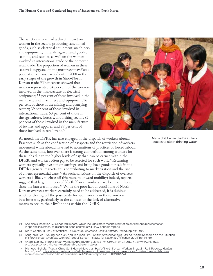The sanctions have had a direct impact on women in the sectors producing sanctioned goods, such as electrical equipment, machinery and equipment, minerals, agricultural goods, seafood, and textiles, as well on the women involved in international trade or the domestic retail trade. The proportion of women in these sectors is suggested in the most recent available population census, carried out in 2008 in the early stages of the growth in Sino–North Korean trade.93 That census showed that women represented 34 per cent of the workers involved in the manufacture of electrical equipment; 35 per cent of those involved in the manufacture of machinery and equipment; 36 per cent of those in the mining and quarrying sectors; 39 per cent of those involved in international trade; 53 per cent of those in the agriculture, forestry, and fishing sector; 82 per cent of those involved in the manufacture of textiles and apparel; and 89 per cent of those involved in retail trade.<sup>94</sup>



As noted, the DPRK has also engaged in the dispatch of workers abroad. Practices such as the confiscation of passports and the restriction of workers' movement while abroad have led to accusations of practices of forced labour. At the same time, however, there is strong competition among workers for these jobs due to the higher levels of pay than can be earned within the DPRK, and workers often pay to be selected for such work.<sup>95</sup> Returning workers typically invest their earnings and bring back goods for sale in the DPRK's general markets, thus contributing to marketization and the rise of an entrepreneurial class.<sup>96</sup> As such, sanctions on the dispatch of overseas workers is likely to close off this route to upward mobility; indeed, reports suggest that large numbers of North Korean workers have been sent home since the ban was imposed.<sup>97</sup> While the poor labour conditions of North Korean overseas workers certainly need to be addressed, it is dubious whether closing off the possibility for such work is in those workers' best interests, particularly in the context of the lack of alternative means to secure their livelihoods within the DPRK.

Many children in the DPRK lack access to clean drinking water.

- 93 See also subsection IV. "Gendered Impact," which includes more recent information on women's representation in specific industries, as discussed in the context of CEDAW periodic reports.
- 94 DPRK Central Bureau of Statistics, *DPRK 2008 Population Census National Report*, pp. 193–195.
- 95 Sang-shin Lee, Kyoung-seop Oh, and Yeh-joon Lim, *Pukhan Haeoenodongja Shilt'ae Yŏn'gu* [Research on the Situation<br>61 of North Korean Overseas Workers] (Seoul: Korean Institute for National Unification, 2017), pp. 43–60
- 96 Andrei Lankov, "North Korean Workers Abroad Aren't Slaves," *NK News*, Nov. 27, 2014, [http://www.nknews.](http://www.nknews.org/2014/11/north-korean-workers-abroad-arent-slaves) [org/2014/11/north-korean-workers-abroad-arent-slaves](http://www.nknews.org/2014/11/north-korean-workers-abroad-arent-slaves).
- 97 Michelle Nichols, "Russia, China Sent Home More than Half of North Korean Workers in 2018 U.N. Reports," *Reuters*, Mar. 26, 2018, [https://www.reuters.com/article/us-northkorea-sanctions-un-exclusive/russia-china-sent-home](https://www.reuters.com/article/us-northkorea-sanctions-un-exclusive/russia-china-sent-home-more-than-half-of-north-korean-workers-in-2018-u-n-reports-idUSKCN1R70AT)[more-than-half-of-north-korean-workers-in-2018-u-n-reports-idUSKCN1R70AT](https://www.reuters.com/article/us-northkorea-sanctions-un-exclusive/russia-china-sent-home-more-than-half-of-north-korean-workers-in-2018-u-n-reports-idUSKCN1R70AT).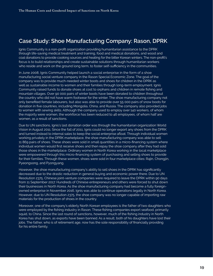#### <span id="page-22-0"></span>**Case Study: Shoe Manufacturing Company: Rason, DPRK**

Ignis Community is a non-profit organization providing humanitarian assistance to the DPRK through life-saving medical treatment and training, food and medical donations, and wood and coal donations to provide cooking sources and heating for the bitter Korean winters. The non-profit's focus is to build relationships and create sustainable solutions through humanitarian workers who reside and work on the ground long term, to foster self-sufficiency in the communities.

In June 2008, Ignis Community helped launch a social enterprise in the form of a shoe manufacturing social venture company in the Rason Special Economic Zone. The goal of the company was to provide much-needed winter boots and shoes for children in the DPRK as well as sustainable income to women and their families through long-term employment. Ignis Community raised funds to donate shoes at cost to orphans and children in remote fishing and mountain villages. Over 90 000 pairs of winter boots have been donated to children throughout the country who did not have warm footwear for the winter. The shoe manufacturing company not only benefited female labourers, but also was able to provide over 55 000 pairs of snow boots for donation in five countries, including Mongolia, China, and Russia. The company also provided jobs to women with sewing skills. Although the company used to employ over 140 workers, of whom the majority were women, the workforce has been reduced to 46 employees, of whom half are women, as a result of sanctions.

Due to UN sanctions, Ignis's last donation order was through the humanitarian organization World Vision in August 2011. Since the fall of 2011, Ignis could no longer export any shoes from the DPRK and turned instead to internal sales to keep the social enterprise afloat. Through individual women working privately in the DPRK marketplace, the shoe manufacturing company was able to sell 11 869 pairs of shoes. These shoes were sold in small quantities in a micro-financing system where individual women would first receive shoes and then repay the shoe company after they had sold those shoes in the marketplace. Ordinary women in North Korea working in the local marketplace were empowered through this micro-financing system of purchasing and selling shoes to provide for their families. Through these women, shoes were sold in four marketplace cities: Rajin, Chongjin, Pyeongsong, and Pyongyang.

However, the shoe manufacturing company's ability to sell shoes in the DPRK has significantly decreased due to the drastic reduction in general buying and economic power there. Due to UN Resolution 2375, Chinese joint-venture companies were required to leave the DPRK within 90 days from 11 September 2017. Hundreds of Chinese entrepreneurs and others were forced to shut down their businesses in North Korea. As the shoe manufacturing company had become a fully foreignowned enterprise in November 2016, Ignis was able to continue operations legally in North Korea. However, due to UN Resolution 2375, the shoe company was no longer capable of importing raw materials for the production of shoes in the country.

Moreover, one of the company's elderly North Korean employees is the father of two daughters who were employed by the fishing industry in Rason. These fishing companies export seafood, primarily squid, to China. Since the last round of sanctions, however, much of the fishing industry in North Korea has shut down, as exports have been banned. As a result, both of his daughters have lost their jobs. The father, who is of retirement age, now has the sole responsibility of financially providing for his entire family.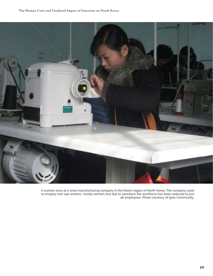

A woman sews at a shoe manufacturing company in the Rason region of North Korea. The company used to employ over 140 workers, mostly women, but due to sanctions the workforce has been reduced to just 46 employees. Photo courtesy of Ignis Community.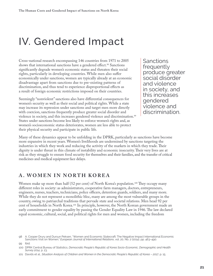## <span id="page-24-0"></span>IV. Gendered Impact

Cross-national research encompassing 146 countries from 1971 to 2005 shows that international sanctions have a gendered effect.<sup>98</sup> Sanctions significantly degrade women's economic status and threaten their social rights, particularly in developing countries. While men also suffer economically under sanctions, women are typically already at an economic disadvantage apart from sanctions due to pre-existing patterns of discrimination, and thus tend to experience disproportional effects as a result of foreign economic restrictions imposed on their countries.

Seemingly "nonviolent" sanctions also have differential consequences for women's security as well as their social and political rights. While a state may increase its repression under sanctions and target men more directly with coercion, sanctions frequently produce greater social disorder and violence in society, and this increases gendered violence and discrimination.<sup>99</sup> States under sanctions become less likely to enforce women's rights and, as women's socioeconomic status deteriorates, women are less able to protect their physical security and participate in public life.

Sanctions frequently produce greater social disorder and violence in society, and this increases gendered violence and discrimination.

Many of these dynamics appear to be unfolding in the DPRK, particularly as sanctions have become more expansive in recent years. Women's livelihoods are undermined by sanctions targeting the industries in which they work and reducing the activity of the markets in which they trade. Their dignity is under threat in this climate of instability and economic insecurity. Their very lives are at risk as they struggle to ensure food security for themselves and their families, and the transfer of critical medicines and medical equipment face delays.

#### **A. WOMEN IN NORTH KOREA**

Women make up more than half (52 per cent) of North Korea's population.<sup>100</sup> They occupy many different roles in society: as administrators, cooperative farm managers, doctors, entrepreneurs, engineers, nurses, teachers, technicians, police officers, detention guards, soldiers, and many more. While they do not represent a monolithic bloc, many are among the most vulnerable groups in the country, owing to patriarchal traditions that pervade state and societal relations. Men head 92 per cent of households in North Korea.101 In principle, however, the North Korean government made an early commitment to gender equality by passing the Gender Equality Law in 1946. The law declared equal economic, cultural, social, and political rights for men and women, including the freedom

<sup>98</sup> A. Cooper Drury and Dursun Peksen, "Women and Economic Statecraft: The Negative Impact International Economic Sanctions Visit on Women," *European Journal of International Relations*, vol. 20, No. 2 (2014), pp. 463–490.

<sup>99</sup> Ibid.

<sup>100</sup> DPRK Central Bureau of Statistics, *Democratic People's Republic of Korea Socio-Economic, Demographic and Health Survey 2014*, p. 23.

<sup>101</sup> Davids et al., *Situation Analysis of Children and Women in the Democratic People's Republic of Korea – 2017*, p. 15.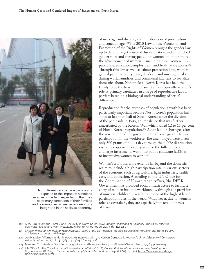

North Korean women are particularly exposed to the impact of sanctions because of the twin expectation that they be primary caretakers of their families and communities as well as workers fully integrated in the socialist economy.

of marriage and divorce, and the abolition of prostitution and concubinage.102 The 2010 Law on the Protection and Promotion of the Rights of Women brought the gender law up to date to target issues of discrimination and entrenched gender roles and stereotypes about women and to promote the advancement of women— including rural women—in public life, education, employment, and health-care access.103 Through this law, as well as labour protection laws, women gained paid maternity leave, childcare and nursing breaks during work, laundries, and communal kitchens to socialize domestic labour. Nonetheless, North Korea has held the family to be the basic unit of society. Consequently, women's role as primary caretakers in charge of reproductive labour persists based on a biological understanding of sexual difference.

Reproduction for the purposes of population growth has been particularly important because North Korea's population has stood at less than half of South Korea's since the division of the peninsula in 1945, an imbalance that was further exacerbated by the Korean War, which killed 12 to 15 per cent of North Korea's population.104 Acute labour shortages after the war prompted the government to decree greater female participation in the workforce. The unemployed were given only 300 grams of food a day through the public distribution system, as opposed to 700 grams for the fully employed, and large investments went into public childcare facilities to incentivize women to work.105

Women's work therefore extends far beyond the domestic realm to include a high participation rate in various sectors of the economy, such as agriculture, light industries, health care, and education. According to the UN Office for the Coordination of Humanitarian Affairs, "the DPRK Government has provided social infrastructure to facilitate entry of women into the workforce … through the provision of universal childcare – resulting in one of the highest labor participation rates in the world."106 However, due to women's roles as caretakers, they are especially impacted in times of crisis.

- 102 Suzy Kim, "Marriage, Family, and Sexuality in North Korea," in *Routledge Handbook of Sexuality Studies in East Asia*, eds. Vera Mackie and Mark McLelland (New York: Routledge, 2015), pp. 112–123.
- 103 *Chosŏn minjujuŭi inmin konghwaguk pŏbjŏn* [Laws of the Democratic People's Republic of Korea] (Moranbong: Pŏbryul ch'ulpansa, 2012), pp. 1188–1194.
- 104 Jon Halliday, "Women in North Korea: An Interview with the Korean Democratic Women's Union," *Bulletin of Concerned Asian Scholars*, vol. 17, No. 3 (1985), pp. 46–56 (here p. 47).
- 105 Mi-ryang Yun, *Pukhan ŭi yŏsŏng chŏngch'aek* [North Korea's Policy on Women] (Seoul: Hanul, 1991), pp. 104–105.
- 106 UN Office for the Coordination of Humanitarian Affairs (OCHA), *Gender Policies of Humanitarian and Development Organisations Working in the Democratic People's Republic of Korea*, Sep. 5, 2003, pp. 3–4, [https://www.refworld.org/](https://www.refworld.org/docid/45b8e1ce2.html) [docid/45b8e1ce2.html](https://www.refworld.org/docid/45b8e1ce2.html).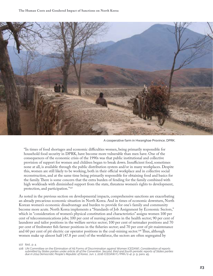

A cooperative farm in Hwanghae Province, DPRK.

"In times of food shortages and economic difficulties women, being primarily responsible for household food security in DPRK, have become more vulnerable than men have. One of the consequences of the economic crisis of the 1990s was that public institutional and collective provision of support for women and children began to break down. Insufficient food, sometimes none at all, is available through the public distribution system and/or in many workplaces. Despite this, women are still likely to be working, both in their official workplace and in collective social reconstruction, and at the same time being primarily responsible for obtaining food and basics for the family. There is some concern that the extra burden of fending for the family combined with high workloads with diminished support from the state, threatens women's rights to development, protection, and participation."107

As noted in the previous section on developmental impacts, comprehensive sanctions are exacerbating an already precarious economic situation in North Korea. And in times of economic downturn, North Korean women's economic disadvantage and burden to provide for one's family and community become more acute. North Korea implements a "Standards of Job Assignment by Economic Sectors," which in "consideration of women's physical constitution and characteristics" assigns women 100 per cent of telecommunications jobs; 100 per cent of nursing positions in the health sector; 90 per cent of launderer and tailor positions in the welfare service sector; 100 per cent of netmaker positions and 70 per cent of freshwater fish farmer positions in the fisheries sector; and 70 per cent of pit maintenance and 60 per cent of pit electric car operator positions in the coal-mining sector.<sup>108</sup> Thus, although women make up almost half (47.8 per cent) of the workforce, the sectors are often segregated by

#### 107 Ibid., p. 4.

<sup>108</sup> UN Committee on the Elimination of All Forms of Discrimination against Women [CEDAW], *Consideration of reports*  submitted by States parties under article 18 of the Convention, Second, third and fourth periodic reports of States parties<br>due in 2014 Democratic People's Republic of Korea, Jun. 1, 2016 (CEDAW/C/PRK/2-4), p. 9, para. 45.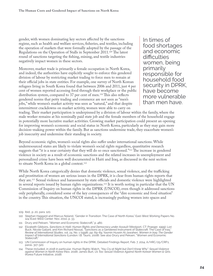gender, with women dominating key sectors affected by the sanctions regime, such as health and welfare services, fisheries, and textiles, including the operation of markets that were formally adopted by the passage of the Regulations on the Operation of Stalls in September 2011.109 The latest round of sanctions targeting the fishing, mining, and textile industries negatively impact women in these sectors.

Moreover, market trade is primarily a female occupation in North Korea, and indeed, the authorities have explicitly sought to enforce this gendered division of labour by restricting market trading to force men to remain at their official jobs in state entities. For example, one survey of North Korean refugees living in South Korea found that between 2006 and 2011, just 4 per cent of women reported accessing food through their workplace or the public distribution system, compared to 37 per cent of men.<sup>110</sup> This also reflects gendered norms that petty trading and commerce are not seen as "men's jobs," while women's market activity was seen as "natural," and that despite intermittent crackdowns on market activity, women were able to carry on

In times of food shortages and economic difficulties women, being primarily responsible for household food security in DPRK, have become more vulnerable than men have.

trading. Their market participation is underpinned by a division of labour within the family, where the male worker remains at his nominally paid state job and the female members of the household engage in potentially more lucrative market activities. Growing market participation could present an opening for improving women's economic and social status in North Korea, particularly as they may gain more decision-making power within the family. But as sanctions undermine trade, they exacerbate women's job insecurity and undermine their standing in society.

Beyond economic rights, women's social rights also suffer under international sanctions. While underresourced states are likely to violate women's social rights regardless, quantitative research suggests that "it is a near certainty that they will do so once sanctioned."111 The increase in gendered violence in society as a result of economic sanctions and the related increases in unemployment and personalized crime have been well documented in Haiti and Iraq, as discussed in the next section to situate North Korea in a global context.112

While North Korea categorically denies that domestic violence, sexual violence, and the trafficking and prostitution of women are serious issues in the DPRK, it is clear from human rights reports that they are.113 Sexual violence and harassment by state officials and domestic violence were highlighted in several reports issued by human rights organizations.<sup>114</sup> It is worth noting in particular that the UN Commission of Inquiry on human rights in the DPRK (UNCOI), even though it addressed sanctions only peripherally, considered some of the key consequences of the "dire economic and food situation" in the country. This situation, the UNCOI stated, is increasingly pushing women into spaces and

111 Drury and Peksen, "Women and Economic Statecraft," p. 480.

<sup>109</sup> Ibid., p. 20, para. 120.

<sup>110</sup> Stephan Haggard and Marcus Noland, "Gender in Transition: The Case of North Korea," East-West Working Papers No. 124 (East-West Center: Nov. 2011), p. 33.

<sup>112</sup> Elizabeth Gibbons, *Sanctions in Haiti: Human Rights and Democracy under Assault* (Westport, CT: Praeger, 1999); Lori<br>"Buck, Nicole Gallant, and Kim Richard Nossal, "Sanctions as a Gendered Instrument of Statecraft: Th *Review of International Studies*, vol. 24, No. 1 (1998), pp. 69–84; Yasmin Husein Al-Jawaheri, *Women in Iraq: The Gender Impact of International Sanctions* (London: I.B. Tauris, 2008). See also Drury and Peksen, "Women and Economic Statecraft."

<sup>113</sup> UN Commission of Inquiry on human rights in the DPRK, Detailed Findings Report, Feb. 7, 2014, A/HRC/25/CRP.1, paras. 317–320.

<sup>114</sup> These included, in 2018 in particular, Human Rights Watch, *"You Cry at Night but Don't Know Why": Sexual Violence against Women in North Korea* (Nov. 2018); James Burt, *Us Too: Sexual Violence Against North Korean Women & Girls*<br>(Korea Future Initiative, 2018).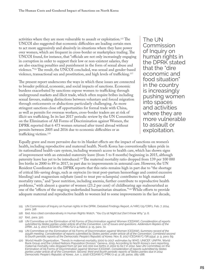activities where they are more vulnerable to assault or exploitation.115 The UNCOI also suggested that economic difficulties are leading certain men to act more aggressively and abusively in situations where they have power over women, which are frequent in cross-border or marketplace trading. The UNCOI found, for instance, that "officials are not only increasingly engaging in corruption in order to support their low or non-existent salaries, they are also exacting penalties and punishment in the form of sexual abuse and violence."116 The result, the UNCOI concluded, was sexual and gender-based violence, transactional sex and prostitution, and high levels of trafficking.117

The present report underscores the ways in which these issues are connected to broader political, economic, and social impacts of sanctions. Economic burdens exacerbated by sanctions expose women to trafficking through underground markets and illicit trade, which often require bribes including sexual favours, making distinctions between voluntary and forced migration through enticements or abductions particularly challenging. As more stringent sanctions close off opportunities for formal trade with China, as well as permits for overseas workers, cross-border traders are at risk of illicit sex trafficking. In its last 2017 periodic review by the UN Committee on the Elimination of All Forms of Discrimination against Women, the DPRK reported that 6 473 women returned after travel abroad without permits between 2005 and 2016 due to economic difficulties or as trafficking victims.118

The UN Commission of Inquiry on human rights in the DPRK stated that the "dire economic and food situation" in the country is increasingly pushing women into spaces and activities where they are more vulnerable to assault or exploitation.

Equally grave and more pervasive due to its blanket effects are the impact of sanctions on women's health, including reproductive and maternal health. North Korea has conventionally taken pride in its nationalized health-care system, including women's access to health care, which has shown signs of improvement with an extended maternity leave (from 5 to 8 months) beginning in 2015, although paternity leave has yet to be introduced.119 The maternal mortality ratio dropped from 139 per 100 000 live births in 2000 to 89 in 2017, in part due to improvements in antenatal care. However, the UN Resident Coordinator in the DPRK reports that this ratio remains high in part due to "the shortage of critical life-saving drugs, such as oxytocin (to treat post-partum hemorrhage and control excessive bleeding) and magnesium sulphate (used to treat pre-eclampsia) contributes to high maternal mortality rates," and "poor nutrition, including anemia, further contribute to reproductive health problems," with almost a quarter of women (23.2 per cent) of childbearing age malnourished as one of the "effects of the ongoing underfunded humanitarian situation."120 While efforts to provide adequate maternal and reproductive health to women led to some improvements in the last decade,

- 116 Ibid. Also cited corroboratively in Human Rights Watch, *"You Cry at Night but Don't Know Why,"* p. 6.
- 117 Ibid., para. 320.
- 118 UN Committee on the Elimination of All Forms of Discrimination against Women [CEDAW], *Consideration of reports*  submitted by States parties under article 18 of the Convention, List of Issues and questions, Addendum Replies of the<br>DPRK, Jul. 5, 2017 (CEDAW/C/PRK/Q/2-4/Add.1), p. 15, para. 72.
- 119 UN Committee on the Elimination of All Forms of Discrimination against Women [CEDAW], *Summary record of the*  1554th meeting, Consideration of reports submitted by States parties under article 18 of the Convention, Combined second<br>to fourth periodic reports of the Democratic People's Republic of Korea, Nov. 8, 2017 (CEDAW/C/SR.155
- 120 World Health Organization, "Trends in maternal mortality 2000 to 2017: estimates by WHO, UNICEF, UNFPA, World Bank Group and the United Nations Population Division," Geneva, 2019. According to North Korea's own reporting, maternal mortality ratio dropped from 97 per 100 000 live births in 2002 to 62.7 in 2012. See UN Committee on the Elimination of All Forms of Discrimination against Women [CEDAW], *Consideration of reports submitted by States parties under article 18 of the Convention, Second, third and fourth periodic reports of States parties due in 2014 Democratic People's Republic of Korea*, Jun. 1, 2016 (CEDAW/C/PRK/2-4), p. 28, paras. 185–188.

<sup>115</sup> UN Commission of Inquiry on human rights in the DPRK, Detailed Findings Report, A/HRC/25/CRP.1, Feb. 7, 2014, para. 318.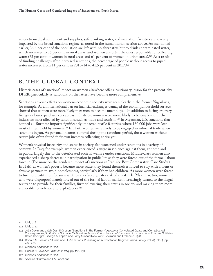<span id="page-29-0"></span>access to medical equipment and supplies, safe drinking water, and sanitation facilities are severely impacted by the broad sanctions regime, as noted in the humanitarian section above. As mentioned earlier, 36.6 per cent of the population are left with no alternative but to drink contaminated water, which increases to 56 per cent in rural areas, and women are often the ones responsible for collecting water (72 per cent of women in rural areas and 61 per cent of women in urban areas).<sup>121</sup> As a result of funding challenges after increased sanctions, the percentage of people without access to piped water increased from 11 per cent in 2013–14 to 41.5 per cent in 2017.<sup>122</sup>

#### **B. THE GLOBAL CONTEXT**

Historic cases of sanctions' impact on women elsewhere offer a cautionary lesson for the present-day DPRK, particularly as sanctions on the latter have become more comprehensive.

Sanctions' adverse effects on women's economic security were seen clearly in the former Yugoslavia, for example. As an international ban on financial exchanges damaged the economy, household surveys showed that women were more likely than men to become unemployed. In addition to facing arbitrary firings as lower-paid workers across industries, women were more likely to be employed in the industries most affected by sanctions, such as trade and tourism.123 In Myanmar, U.S. sanctions that banned all Burmese imports significantly impacted textile factories, where 180 000 jobs were lost most of them held by women.124 In Haiti, women were likely to be engaged in informal trade when sanctions began. As personal incomes suffered during the sanctions period, these women without secure jobs often found their own incomes collapsing entirely.<sup>125</sup>

Women's physical insecurity and status in society also worsened under sanctions in a variety of contexts. In Iraq, for example, women experienced a surge in violence against them, at home and in public, largely due to the deteriorated societal welfare under sanctions. Middle-class women also experienced a sharp decrease in participation in public life as they were forced out of the formal labour force.126 (For more on the gendered impact of sanctions in Iraq, see Box: Comparative Case Study.) In Haiti, as women's poverty became more acute, they found themselves forced to stay with violent or abusive partners to avoid homelessness, particularly if they had children. As more women were forced to turn to prostitution for survival, they also faced greater risk of arrest.<sup>127</sup> In Myanmar, too, women who were disproportionately forced out of the formal labour market increasingly turned to the illegal sex trade to provide for their families, further lowering their status in society and making them more vulnerable to violence and exploitation.<sup>128</sup>

- 123 Julia Devin and Jaleh Dashti-Gibson, "Sanctions in the Former Yugoslavia: Convoluted Goals and Complicated<br>Consequences," in *Political Gain and Civilian Pain: Humanitarian Impact of Economic Sanctions*, eds. Thomas David Cortright, George A. Lopez, and Larry Minear (New York: Rowman and Littlefield, 1997).
- 124 Donald M. Seekins, "Burma and US Sanctions: Punishing an Authoritarian Regime," *Asian Survey*, vol. 45, No. 3, pp. 437–452.
- 125 Gibbons, *Sanctions in Haiti*.
- 126 Husein Al-Jawaheri, *Women in Iraq*, pp. 136, 139.

127 Gibbons, *Sanctions in Haiti*.

128 Seekins, "Burma and US Sanctions."

<sup>121</sup> Ibid., p. 8.

<sup>122</sup> Ibid., p. 22.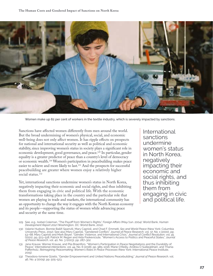

Women make up 82 per cent of workers in the textile industry, which is severely impacted by sanctions.

Sanctions have affected women differently from men around the world. But the broad undermining of women's physical, social, and economic well-being does not only affect women. It has ripple effects on prospects for national and international security as well as political and economic stability, since improving women's status in society plays a significant role in economic development, good governance, and peace.129 In particular, gender equality is a greater predictor of peace than a country's level of democracy or economic wealth.130 Women's participation in peacebuilding makes peace easier to achieve and more likely to last.131 And the prospects for successful peacebuilding are greater where women enjoy a relatively higher social status.<sup>132</sup>

Yet, international sanctions undermine women's status in North Korea, negatively impacting their economic and social rights, and thus inhibiting them from engaging in civic and political life. With the economic transformations taking place in the country and the particular role that women are playing in trade and markets, the international community has an opportunity to change the way it engages with the North Korean economy and its people—supporting the status of women while advancing peace and security at the same time.

International sanctions undermine women's status in North Korea, negatively impacting their economic and social rights, and thus inhibiting them from engaging in civic and political life.

- 129 See, e.g., Isobel Coleman, "The Payoff from Women's Rights," *Foreign Affairs* (May/Jun. 2004); World Bank, *Human Development Report 2012* (Washington, DC: World Bank, 2012).
- 130 Valerie Hudson, Bonnie Ballif-Spanvill, Mary Caprioli, and Chad F. Emmett, *Sex and World Peace* (New York: Columbia University Press, 2012). See also Mary Caprioli, "Gendered Conflict," *Journal of Peace Research*, vol. 37, No. 1 (2000), pp. 53–68; Mary Caprioli and Mark Boyer, "Gender, Violence, and International Crisis," *Journal of Conflict Resolution*, vol. 45 (2001), pp. 503–518; Patrick M. Regan and Aida Paskeviciute, "Women's Access to Politics and Peaceful States," *Journal of Peace Research*, vol. 40, No. 3 (2003), pp. 287–302.
- 131 Jana Krause, Werner Krause, and Piia Braenfors, "Women's Participation in Peace Negotiations and the Durability of Peace," *International Interactions*, vol. 44, No. 6 (2018), pp. 985–1016; Marie O'Reilly, Andrea Ó Súilleabháin, and Thania Paffenholz, *Reimagining Peacemaking: Women's Roles in Peace Processes* (New York: International Peace Institute, 2015).
- 132 Theodora-Ismene Gizelis, "Gender Empowerment and United Nations Peacebuilding," *Journal of Peace Research*, vol. 46, No. 4 (2009), pp. 505–523.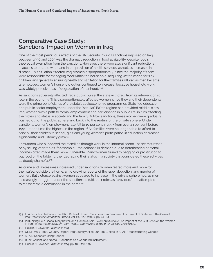#### <span id="page-31-0"></span>**Comparative Case Study: Sanctions' Impact on Women in Iraq**

One of the most pernicious effects of the UN Security Council sanctions imposed on Iraq between 1990 and 2003 was the dramatic reduction in food availability, despite food's theoretical exemption from the sanctions. However, there were also significant reductions in access to potable water and in the provision of health services, as well as increases in disease. This situation affected Iraqi women disproportionately, since the majority of them were responsible for managing food within the household, acquiring water, caring for sick children, and generally ensuring health and sanitation for their families.133 Even as men became unemployed, women's household duties continued to increase, because household work was widely perceived as a "degradation of manhood."<sup>134</sup>

As sanctions adversely affected Iraq's public purse, the state withdrew from its interventionist role in the economy. This disproportionately affected women, since they and their dependents were the prime beneficiaries of the state's socioeconomic programmes. State-led education and public sector employment under the "secular" Ba'ath regime had provided middle-class Iraqi women with a path to formal employment and participation in public life, in turn affecting their roles and status in society and the family.<sup>135</sup> After sanctions, these women were gradually pushed out of the public sphere and back into the realms of the private sphere. Under sanctions, women's employment rate fell to 10 per cent in 1997 from over 23 per cent before 1991—at the time the highest in the region.136 As families were no longer able to afford to send all their children to school, girls' and young women's participation in education decreased significantly, and illiteracy grew.<sup>137</sup>

For women who supported their families through work in the informal sector—as seamstresses or by selling vegetables, for example—the collapse in demand due to deteriorating personal incomes often made them more vulnerable. Many women turned to begging or prostitution to put food on the table, further degrading their status in a society that considered these activities as deeply shameful.<sup>138</sup>

As crime and lawlessness increased under sanctions, women feared more and more for their safety outside the home, amid growing reports of the rape, abduction, and murder of women. But violence against women appeared to increase in the private sphere, too, as men increasingly struggled under the sanctions to fulfil their roles as "providers" and attempted to reassert male dominance in the home.<sup>139</sup>

- 133 Lori Buck, Nicole Gallant, and Kim Richard Nossal, "Sanctions as a Gendered Instrument of Statecraft: The Case of Iraq," *Review of International Studies*, vol. 24, No. 1 (1998), pp. 69–84.
- 134 Ibid., citing Bela Bhatia, Mary Kawar, and Mariam Shain, "Women's Survey: The Impact of the Gulf Crisis on the Women in Iraq," in International Study Team, *Health and Welfare in Iraq after the Gulf Crisis* (1991).
- 135 Husein Al-Jawaheri, *Women in Iraq*.
- 136 UNDP, 1999–2000 Country Report, Iraq Country Office, Jun. 2000, cited in Al-Ali, "Reconstructing Gender."
- 137 Al-Ali, "Reconstructing Gender."
- 138 Buck, Gallant, and Nossal, "Sanctions as a Gendered Instrument."
- 139 Husein Al-Jawaheri, *Women in Iraq*, pp. 108–118, 139.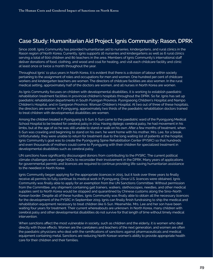### <span id="page-32-0"></span>**Case Study: Humanitarian Aid Project, Ignis Community: Rason, DPRK**

Since 2008, Ignis Community has provided humanitarian aid to nurseries, kindergartens, and rural clinics in the Rason region of North Korea. Currently, Ignis supports 16 nurseries and kindergartens as well as 6 rural clinics serving a total of 600 children and 80 teachers in the area. Members of Ignis Community's international staff deliver donations of food, clothing, and wood and coal for heating, and visit each childcare facility and clinic at least once or twice a month throughout the year.

Throughout Ignis' 11-plus years in North Korea, it is evident that there is a division of labour within society pertaining to the assignment of roles and occupations for men and women. One hundred per cent of childcare workers and kindergarten teachers are women. The directors of childcare facilities are also women. In the rural medical setting, approximately half of the doctors are women, and all nurses in North Korea are women.

As Ignis Community focuses on children with developmental disabilities, it is working to establish paediatric rehabilitation treatment facilities in provincial children's hospitals throughout the DPRK. So far, Ignis has set up paediatric rehabilitation departments in South Pyongan Province, Pyongseong Children's Hospital and Nampo Children's Hospital, and in Gangwon Province, Wonsan Children's Hospital. At two out of three of these hospitals, the directors are women. In Pyongyang, approximately two thirds of the paediatric rehabilitation doctors trained to treat children with developmental disabilities are women.

Among the children treated in Pyongyang is Il-Sun. Il-Sun came to the paediatric ward of the Pyongyang Medical School Hospital to be treated for cerebral palsy in 2014. Having diplegic cerebral palsy, he had movement in his limbs, but at the age of six he was still unable to stand or walk on his own. After a few months of treatment, when Il-Sun was crawling and beginning to stand on his own, he went home with his mother, Mrs. Lee, for a break. Unfortunately, they were unable to return for treatment due to the long waiting list of patients at the hospital. Ignis Community's goal was to create the Pyongyang Spine Rehabilitation Center (PYSRC) so that hundreds and even thousands of mothers could come to Pyongyang with their children for specialized treatment in developmental disabilities such as cerebral palsy.

UN sanctions have significantly discouraged donors from contributing to the PYSRC. The current political climate challenges even large NGOs to reconsider their involvement in the DPRK. Many years of applications for governmental permits and licences are required to continue providing life-saving humanitarian assistance to the neediest in North Korea.

Ignis Community began applying for the appropriate licences in 2015, but it took over three years to finally receive all permits to fully continue its medical work in Pyongyang. Once U.S. licences were obtained, Ignis Community was finally able to apply for an exemption from the UN Sanctions Committee. Without permission from the Committee, any shipment containing gait trainers, walkers, stethoscopes, needles, and other medical supplies sent to North Korea would be stopped and quarantined by Chinese customs along the Sino–North Korean border. Despite all of these hurdles, Ignis Community was finally able to obtain all the necessary licences for the development of the PYSRC in September 2019. Ignis can finally finish fundraising to ship the medical and rehabilitation equipment necessary to treat children like Il-Sun. Meanwhile, Mrs. Lee and her son have been waiting four years for treatment. Their current whereabouts are unknown. In North Korea, many children with cerebral palsy and other developmental disabilities do not survive for that length of time without timely medical intervention.

When sanctions affect the most vulnerable in society, such as children and the elderly, it is women who deal directly with those effects. Women are the caretakers and teachers of the next generation, and women are often the paediatric physicians who deal with the ramifications of sanctions against pharmaceuticals and medical equipment containing metal. Sanctions are reducing North Korean women's ability to provide appropriate health care for their children and their families.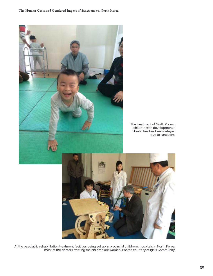

At the paediatric rehabilitation treatment facilities being set up in provincial children's hospitals in North Korea, most of the doctors treating the children are women. Photos courtesy of Ignis Community.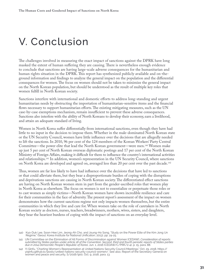## <span id="page-34-0"></span>V. Conclusion

The challenges involved in measuring the exact impact of sanctions against the DPRK have long masked the extent of human suffering they are causing. There is nevertheless enough evidence to conclude that sanctions are having large-scale adverse consequences for the humanitarian and human rights situation in the DPRK. This report has synthesized publicly available and on-theground information and findings to analyze the general impact on the population and the differential consequences for women. The focus on women should not be taken to minimize the general impact on the North Korean population, but should be understood as the result of multiple key roles that women fulfill in North Korean society.

Sanctions interfere with international and domestic efforts to address long-standing and urgent humanitarian needs by obstructing the importation of humanitarian-sensitive items and the financial flows necessary to support humanitarian efforts. The existing mitigating measures, such as the UN case-by-case exemptions mechanism, remain insufficient to prevent these adverse consequences. Sanctions also interfere with the ability of North Koreans to develop their economy, earn a livelihood, and attain an adequate standard of living.

Women in North Korea suffer differentially from international sanctions, even though they have had little to no input in the decision to impose them. Whether in the male-dominated North Korean state or the UN Security Council, women have little influence over the decisions that are allegedly needed to lift the sanctions. In 2010, 96 per cent of the 124 members of the Korean Workers' Party Central Committee—the power elite that lead the North Korean government—were men.140 Women make up just 5 per cent of North Korean overseas diplomatic postings and 17 per cent of the North Korean Ministry of Foreign Affairs, making it difficult for them to influence the country's international activities and relationships.141 In addition, women's representation in the UN Security Council, where sanctions on North Korea are developed and agreed on, averaged less than 20 per cent over the past decade.<sup>142</sup>

Thus, women are far less likely to have had influence over the decisions that have led to sanctions or that could alleviate them, but they bear a disproportionate burden of coping with the disruptions and deprivations sanctions are causing in North Korean society. The differentiated effect sanctions are having on North Korean women stem in part from the gender-ascribed roles that women play in North Korea as elsewhere. The focus on women is not to essentialize or perpetuate those roles or to cast women as simply victims—North Korean women have shown incredible resilience and care for their communities in the face of adversity. The present report's assessment of the impact on women demonstrates how the current sanctions regime not only impacts women themselves, but the entire communities in which they live and care for. When women take on the role of caretakers in North Korean society as doctors, nurses, teachers, breadwinners, mothers, wives, sisters, and daughters, they bear the heaviest burdens of coping with the impact of sanctions on an everyday level.

<sup>140</sup> Kyo-Duk Lee, Soon-Hee Lim, Jeong-Ah Cho, and Joung-Ho Song, "Study on the Power Elite of the Kim Jong Un Regime," (Seoul: Korea Institute for National Unification, 2013), pp. 24-25.

<sup>141</sup> UN Committee on the Elimination of All Forms of Discrimination against Women [CEDAW], *Consideration of reports*  submitted by States parties under article 18 of the Convention, Second, third and fourth periodic reports of States parties<br>due in 2014 Democratic People's Republic of Korea, Jun. 1, 2016 (CEDAW/C/PRK/2-4), p. 15, para. 88

<sup>142</sup> Yi Qinfu, "Charting Women's Representation at United Nations Security Council Meetings," Oct. 29, 2018, https:// yiqinfu.github.io/posts/united-nations-security-council-women/. See also, Report of the Secretary-General on women and peace and security, S/2018/900, Oct. 9, 2018, para. 13.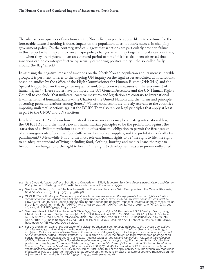The adverse consequences of sanctions on the North Korean people appear likely to continue for the foreseeable future if nothing is done. Impact on the population does not imply success in changing government policy. On the contrary, studies suggest that sanctions are particularly prone to failure in this respect when they aim to force major policy changes, when they target authoritarian countries, and when they are tightened over an extended period of time.143 It has also been observed that sanctions can be counterproductive by actually cementing political unity—the so-called "rally around the flag" effect.144

In assessing the negative impact of sanctions on the North Korean population and its more vulnerable groups, it is pertinent to refer to the ongoing UN inquiry on the legal issues associated with sanctions, based on studies by the Office of the High Commissioner for Human Rights (OHCHR) and the Special Rapporteur on the negative impact of unilateral coercive measures on the enjoyment of human rights.145 These studies have prompted the UN General Assembly and the UN Human Rights Council to conclude "that unilateral coercive measures and legislation are contrary to international law, international humanitarian law, the Charter of the United Nations and the norms and principles governing peaceful relations among States."146 These conclusions are directly relevant to the countries imposing unilateral sanctions against the DPRK. They also rely on legal principles that apply at least in part to the UNSC and UN sanctions.

In a landmark 2012 study on how unilateral coercive measures may be violating international law, the OHCHR found the most relevant humanitarian principles to be the prohibition against the starvation of a civilian population as a method of warfare, the obligation to permit the free passage of all consignments of essential foodstuffs as well as medical supplies, and the prohibition of collective punishment.147 Meanwhile, it found the most relevant human rights to be "the right to life, the right to an adequate standard of living, including food, clothing, housing and medical care, the right to freedom from hunger, and the right to health." The right to development was also prominently cited

- 143 Gary Clyde Hufbauer, Jeffrey J. Schott, and Kimberly Ann Elliott, *Economic Sanctions Reconsidered: History and Current*  Policy, 2nd ed. (Washington, D.C., Institute for International Economics, 1990).
- 144 See Johan Galtung, "On the Effects of International Economic Sanctions, With Examples from the Case of Rhodesia," *World Politics*, vol. 19, No. 3 (1967), pp. 378–416.
- 145 OHCHR, *Thematic study on the impact of unilateral coercive measures on the enjoyment of human rights, including recommendations on actions aimed at ending such measures ("Thematic study on unilateral coercive measures"),* A/ HRC/19/33, Jan. 11, 2012; Report of the Special Rapporteur on the negative impact of unilateral coercive measures on the enjoyment of human rights, A/HRC/30/45, Aug. 10, 2015;id., A/HRC/33/48, Aug. 2, 2016; id., A/HRC/36/44, Jul. 26, 2017; id., A/HRC/39/54, Aug. 30, 2018.
- 146 See preambles in UNGA Resolution A/RES/71/193, Dec. 19, 2016; UNGA Resolution A/RES/70/151, Dec. 17, 2015; UNGA Resolution A/RES/69/180, Jan. 30, 2015; UNGA Resolution A/RES/68/162, Dec. 18, 2013; UNGA Resolution A/RES/67/170, Dec. 20, 2012; UNGA Resolution A/RES/66/156, Mar. 20, 2012; UNGA Resolution A/RES/65/217, Apr. 6, 201; UNGA Resolution A/RES/64/170, Mar. 24, 2010; UNGA Resolution A/RES/63/179, Mar. 26, 2009; UNGA Resolution, A/RES/62/162, Dec. 18, 2007.
- 147 For the prohibition against the starvation of a civilian population, see *Protocol Additional to the Geneva Conventions of 12 August 1949, and relating to the Protection of Victims of International Armed Conflicts*. (*Protocol I)*, Jun. 8, 1977, art. 54 and *Protocol Additional to the Geneva Conventions of 12 August 1949, and relating to the Protection of Victims of Non-International Armed Conflicts (Protocol II),* Jun. 8, 1977, art. 14;For the obligation to permit the free passage of all consignments of essential foodstuffs as well as medical supplies, see *Geneva Convention Relative to the Protection of Civilian Persons in Time of War (Fourth Geneva Convention)*, Aug. 12, 1949, art. 23; For the prohibition of collective punishment, see *Hague Convention (IV) Respecting the Laws and Customs of War on Land and Its Annex: Regulations Concerning the Laws and Customs of War on Land*, Oct. 18 1907, art. 50. As quoted in OHCHR, *Thematic study on unilateral coercive measures*, A/HRC/19/33, Jan. 11, 2012, para. 10; For the applicability of humanitarian law regardless of a state of war, see Report of the Special Rapporteur on the negative impact of unilateral coercive measures on the enjoyment of human rights, A/HRC/39/54, Aug. 30, 2018, paras. 25, 26.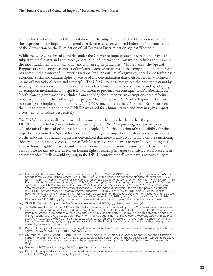later in the UNGA and UNHRC resolutions on the subject.148 The OHCHR also warned that the disproportionate impact of unilateral coercive measures on women hinders the implementation of the Convention on the Elimination of All Forms of Discrimination against Women.149

While the UNSC has broad authority under the Charter to impose sanctions, that authority is still subject to the Charter and applicable general rules of international law, which includes at minimum the most fundamental humanitarian and human rights principles.150 Moreover, as the Special Rapporteur on the negative impact of unilateral coercive measures on the enjoyment of human rights has noted in the context of unilateral sanctions: "the inhabitants of a given country do not forfeit basic economic, social and cultural rights by virtue of any determination that their leaders have violated norms of international peace and security."151 The UNSC itself has recognized the need for restraint by stressing that sanctions are not intended to have adverse humanitarian consequences and by adopting an exemption mechanism, although it is insufficient to prevent such consequences. Paradoxically, the North Korean government is excluded from applying for humanitarian exemptions despite being most responsible for the wellbeing of its people. Meanwhile, the UN Panel of Experts tasked with monitoring the implementation of the UN's DPRK sanctions and the UN Special Rapporteur on the human rights situation in the DPRK have called for a humanitarian and human rights impact assessment of sanctions, respectively.152

The UNSC has repeatedly expressed "deep concern at the grave hardship that the people in the DPRK are subjected to," even while condemning the DPRK "for pursuing nuclear weapons and ballistic missiles instead of the welfare of its people."153 On the question of responsibility for the impact of sanctions, the Special Rapporteur on the negative impact of unilateral coercive measures on the enjoyment of human rights has determined that there is also accountability on the sanctioning side, even for unintended consequences: "Whilst targeted States have a responsibility to mitigate the adverse human rights impact of unilateral sanctions imposed by source countries, the latter are also accountable for any adverse effects on human rights occurring in target countries, even if such effects are unintended."154 This would suggest, in the DPRK context, that all sides have a responsibility to

- 148 For the right to life, see UNGA, *Universal Declaration of Human Rights ("UDHR"), Dec. 10, 1948, art. 3 and International Covenant on Civil and Political Rights*, Dec. 16, 1966, art. 6;For the right to an adequate standard of living, see *UDHR*, Dec. 10, 1948, art. 25 and *International Covenant on Economic, Social and Cultural Rights ("ICESCR")*, Dec. 16, 1966, art.11; For the right to freedom from hunger, see *ICESCR*, Dec. 16, 1966, art. 11; For the right to health, see *ICESCR*, Dec. 16, 1966, art. 12 and UN Committee on Economic, Social and Cultural Rights, *General Comment No. 8: The relationship between economic sanctions and respect for economic, social and cultural rights*, Dec. 12, 1997, para. 3, as quoted in OHCHR, *Thematic study on unilateral coercive measures*, A/HRC/19/33, Jan. 11, 2012, para. 9; For the right to<br>development, see UNGA Resolution A/RES/41/128, "Declaration on the Right to Development," Dec. 4, 1986, as c in the context of unilateral coercive measures by UNGA Resolution A/RES/71/193, Dec. 19, 2016, para. 14; UNHRC Resolution A/HRC/RES/34/13, Mar. 24, 2017, para. 12 (and corresponding paragraphs in earlier resolutions).
- 149 OHCHR, *Thematic study on unilateral coercive measures*, A/HRC/19/33, Jan. 11, 2012, para. 36.
- 150 While the exact extent of the UNSC's authority to impose sanctions under art. 41 of the Charter remains contentious, it remains subject to humanitarian and human rights norms at least to the extent that it is subject to the Purposes and Principles of the United Nations pursuant to arts. 1 and 24(2) (see also art. 55), as well as to non-derogable principles of international law referred to as peremptory norms or jus cogens norms. See OHCHR, *Thematic study on unilateral coercive measures*, A/HRC/19/33, Jan. 11, 2012, paras. 21, 25; On peremptory norms, see Vienna Convention on the Law of Treaties, May 23, 1969, art. 53 ("A treaty is void if, at the time of its conclusion, it conflicts with a peremptory norm of general international law.").
- 151 Report of the Special Rapporteur on the negative impact of unilateral coercive measures on the enjoyment of human rights, A/HRC/36/44, Jul. 26, 2017, Appendix II, A.6.
- 152 UN Panel of Experts Report, S/2019/171, Mar. 5, 2019, para. 180; Report of the Special Rapporteur on the situation of human rights in the DPRK, A/72/394, Sep. 18, 2017, para. 6; see also Report of the Special Rapporteur on the negative impact of unilateral coercive measures on the enjoyment of human rights, A/HRC/36/44, Jul. 26, 2017, Appendix II, B.13(a).
- 153 See, e.g., UNSC Resolution 2397, S/RES/2397, Dec. 22, 2017, para. 23.
- 154 Report of the Special Rapporteur on the negative impact of unilateral coercive measures on the enjoyment of human rights, A/HRC/36/44, Jul. 26, 2017, Appendix II, A.5.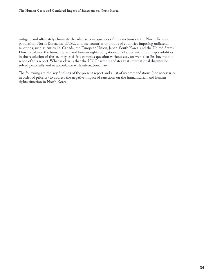mitigate and ultimately eliminate the adverse consequences of the sanctions on the North Korean population: North Korea, the UNSC, and the countries or groups of countries imposing unilateral sanctions, such as Australia, Canada, the European Union, Japan, South Korea, and the United States. How to balance the humanitarian and human rights obligations of all sides with their responsibilities in the resolution of the security crisis is a complex question without easy answers that lies beyond the scope of this report. What is clear is that the UN Charter mandates that international disputes be solved peacefully and in accordance with international law.

The following are the key findings of the present report and a list of recommendations (not necessarily in order of priority) to address the negative impact of sanctions on the humanitarian and human rights situation in North Korea.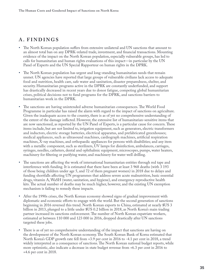### <span id="page-38-0"></span>**A. FINDINGS**

- The North Korean population suffers from extensive unilateral and UN sanctions that amount to an almost total ban on any DPRK-related trade, investment, and financial transactions. Mounting evidence of the impact on the North Korean population, especially vulnerable groups, has led to calls for humanitarian and human rights evaluations of this impact—in particular by the UN Panel of Experts and the UN Special Rapporteur on human rights in the DPRK.
- The North Korean population has urgent and long-standing humanitarian needs that remain unmet. UN agencies have reported that large groups of vulnerable civilians lack access to adequate food and nutrition, health care, safe water and sanitation, disaster preparedness, shelter, and security. Humanitarian programs active in the DPRK are constantly underfunded, and support has drastically decreased in recent years due to donor fatigue, competing global humanitarian crises, political decisions not to fund programs for the DPRK, and sanctions barriers to humanitarian work in the DPRK.
- The sanctions are having unintended adverse humanitarian consequences. The World Food Programme in particular has raised the alarm with regard to the impact of sanctions on agriculture. Given the inadequate access to the country, there is as of yet no comprehensive understanding of the extent of the damage inflicted. However, the extensive list of humanitarian-sensitive items that are now sanctioned, as reported by the UN Panel of Experts, is a particular cause for concern. These items include, but are not limited to, irrigation equipment, such as generators, electric transformers and inductors, electric storage batteries, electrical apparatus, and prefabricated greenhouses; medical appliances, such as ultrasound machines, cardiograph machines, artificial respiration machines, X-ray machines, and orthopaedic appliances for persons with disabilities; and any item with a metallic component, such as sterilizers, UV lamps for disinfection, ambulances, carriages, syringes, needles, catheters, dental and ophthalmic equipment, microscopes, pumps, water heaters, machinery for filtering or purifying water, and machinery for water well drilling.
- The sanctions are affecting the work of international humanitarian entities through red tape and interference with funding. It is estimated that there have been at least 3 968 deaths (with 3 193 of those being children under age 5, and 72 of them pregnant women) in 2018 due to delays and funding shortfalls affecting UN programmes that address severe acute malnutrition, basic essential drugs, vitamin A, WaSH (water, sanitation, and hygiene), and emergency reproductive health kits. The actual number of deaths may be much higher, however, and the existing UN exemption mechanism is failing to remedy these impacts.
- After the 1990s crises, the North Korean economy showed signs of gradual improvement with diplomatic and economic efforts to engage with the world. But the second generation of sanctions beginning in 2016 reversed this trend. North Korean exports to China, estimated at nearly \$US 3 billion in 2013, plunged to a little under \$US 0.2 billion in 2018, as North Korea's main trading partner increased its sanctions enforcement. The number of North Korean expatriate workers, estimated at between 110 000 and 123 000 in 2016, dropped drastically after UN sanctions targeted these jobs.
- There is as of yet no comprehensive understanding of the impact that sanctions are having on the development of the North Korean economy. The South Korean Bank of Korea estimated that North Korea's GDP growth rate fell from +3.9 per cent in 2016 to -4.1 per cent in 2018, a trend widely interpreted as a consequence of sanctions. The North Korean national budget reports, while more optimistic, also indicate a decrease in state budget revenue from +6.3 per cent in 2016 to +4.6 per cent in 2018.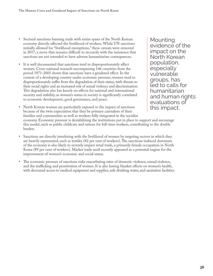- Sectoral sanctions banning trade with entire spans of the North Korean economy directly affected the livelihood of workers. While UN sanctions initially allowed for "livelihood exemptions," these caveats were removed in 2017, a move that remains difficult to reconcile with the insistence that sanctions are not intended to have adverse humanitarian consequences.
- It is well documented that sanctions tend to disproportionately affect women. Cross-national research encompassing 146 countries from the period 1971-2005 shows that sanctions have a gendered effect. In the context of a developing country under economic pressure, women tend to disproportionately suffer from the degradation of their status, with threats to their social rights and an increased risk of sexual violence and discrimination. This degradation also has knock-on effects for national and international security and stability, as women's status in society is significantly correlated to economic development, good governance, and peace.

Mounting evidence of the impact on the North Korean population, especially vulnerable groups, has led to calls for humanitarian and human rights evaluations of this impact.

- North Korean women are particularly exposed to the impact of sanctions because of the twin expectation that they be primary caretakers of their families and communities as well as workers fully integrated in the socialist economy. Economic pressure is destabilizing the institutions put in place to support and encourage this model, such as public childcare and rations for full-time workers, contributing to the double burden.
- Sanctions are directly interfering with the livelihood of women by targeting sectors in which they are heavily represented, such as textiles (82 per cent of workers). The sanctions-induced downturn of the economy is also likely to severely impact retail trade, a primarily female occupation in North Korea (89 per cent of workers). Market trade until recently appeared as a potential engine for the improvement of women's economic and social status.
- The economic pressure of sanctions risks exacerbating rates of domestic violence, sexual violence, and the trafficking and prostitution of women. It is also having blanket effects on women's health, with decreased access to medical equipment and supplies, safe drinking water, and sanitation facilities.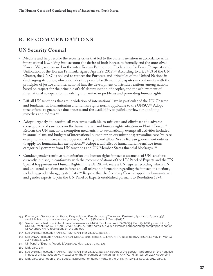#### <span id="page-40-0"></span>**B. RECOMMENDATIONS**

#### **UN Security Council**

- Mediate and help resolve the security crisis that led to the current situation in accordance with international law, taking into account the desire of both Koreas to formally end the unresolved Korean War, as expressed in the inter-Korean Panmunjom Declaration for Peace, Prosperity and Unification of the Korean Peninsula signed April 28, 2018.155 According to art. 24(2) of the UN Charter, the UNSC is obliged to respect the Purposes and Principles of the United Nations in discharging its duties, which includes the peaceful settlement of disputes in conformity with the principles of justice and international law, the development of friendly relations among nations based on respect for the principle of self-determination of peoples, and the achievement of international co-operation in solving humanitarian problems and promoting human rights.
- Lift all UN sanctions that are in violation of international law, in particular of the UN Charter and fundamental humanitarian and human rights norms applicable to the UNSC.156 Adopt mechanisms to guarantee due process, and the availability of judicial review for obtaining remedies and redress.157
- Adopt urgently, in interim, all measures available to mitigate and eliminate the adverse consequences of sanctions on the humanitarian and human rights situation in North Korea.<sup>158</sup> Reform the UN sanctions exemption mechanism to automatically exempt all activities included in annual plans and budgets of international humanitarian organizations; streamline case-by-case exemptions and increase their operational length; and allow North Korean government entities to apply for humanitarian exemptions.<sup>159</sup> Adopt a whitelist of humanitarian-sensitive items categorically exempt from UN sanctions and UN Member States financial blockages.160
- Conduct gender-sensitive humanitarian and human rights impact assessments of UN sanctions currently in place, in conformity with the recommendations of the UN Panel of Experts and the UN Special Rapporteur on Human Rights in the DPRK.161 Create a UN register recording which UN and unilateral sanctions are in force and all relevant information regarding the impact of sanctions, including gender-disaggregated data.<sup>162</sup> Request that the Secretary General appoint a humanitarian and gender experts to join the UN Panel of Experts established pursuant to Resolution 1874.

157 See UNHRC Resolution A/HRC/RES/34/13, Mar. 24, 2017, para. 15.

159 UN Panel of Experts Report, S/2019/171, Mar. 5, 2019, para. 179.

- 161 See UNHRC Resolution A/HRC/RES/34/13, Mar. 24, 2017, para. 17; Report of the Special Rapporteur on the negative impact of unilateral coercive measures on the enjoyment of human rights, A/HRC/36/44, Jul. 26, 2017, Appendix I.
- 162 Ibid., para. 180; Report of the Special Rapporteur on human rights in the DPRK, A/72/394, Sep. 18, 2017, para. 6.

<sup>155</sup> Panmunjom Declaration on Peace, Prosperity, and Reunification of the Korean Peninsula, Apr. 27, 2018, para. 3(3),<br>available from http://www.mofa.go.kr/eng/brd/m\_5478/view.do?seq=319130.

<sup>156</sup> See in the context of unilateral coercive measures: UNGA Resolution A/RES/71/193, Dec. 19, 2016, paras. 1, 2, 4, 9; UNHRC Resolution A/HRC/RES/34/13, Mar. 24, 2017, paras. 1, 2, 4, 5; as well as corresponding paragraphs in earlier UNGA and UNHRC resolutions on the subject.

<sup>158</sup> See UNGA Resolution A/RES/71/193, Dec. 19, 2016, paras. 1, 2, 4, 9; UNHRC Resolution A/HRC/RES/34/13, Mar. 24, 2017, paras. 1, 2, 4, 7.

<sup>160</sup> Ibid., para. 178.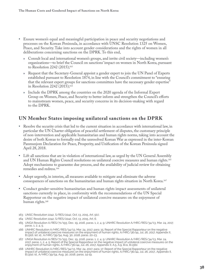- <span id="page-41-0"></span>• Ensure women's equal and meaningful participation in peace and security negotiations and processes on the Korean Peninsula, in accordance with UNSC Resolution 1325 on Women, Peace, and Security. Take into account gender considerations and the rights of women in all deliberations concerning sanctions on the DPRK. To this end,
	- » Consult local and international women's groups, and invite civil society—including women's organizations—to brief the Council on sanctions' impact on women in North Korea, pursuant to Resolution 2242 (2015);163
	- » Request that the Secretary-General appoint a gender expert to join the UN Panel of Experts established pursuant to Resolution 1874, in line with the Council's commitment to "ensuring that the relevant expert groups for sanctions committees have the necessary gender expertise" in Resolution 2242 (2015);164
	- » Include the DPRK among the countries on the 2020 agenda of the Informal Expert Group on Women, Peace, and Security to better inform and strengthen the Council's efforts to mainstream women, peace, and security concerns in its decision-making with regard to the DPRK.

#### **UN Member States imposing unilateral sanctions on the DPRK**

- Resolve the security crisis that led to the current situation in accordance with international law, in particular the UN Charter obligation of peaceful settlement of disputes, the customary principle of non-intervention and applicable humanitarian and human rights norms, taking into account the desire of both Koreas to formally end the unresolved Korean War as expressed in the inter-Korean Panmunjom Declaration for Peace, Prosperity, and Unification of the Korean Peninsula signed April 28, 2018.
- Lift all sanctions that are in violation of international law, as urged by the UN General Assembly and UN Human Rights Council resolutions on unilateral coercive measures and human rights.165 Adopt mechanisms to guarantee due process, and the availability of judicial review for obtaining remedies and redress.166
- Adopt urgently, in interim, all measures available to mitigate and eliminate the adverse consequences of sanctions on the humanitarian and human rights situation in North Korea.167
- Conduct gender-sensitive humanitarian and human rights impact assessments of unilateral sanctions currently in place, in conformity with the recommendations of the UN Special Rapporteur on the negative impact of unilateral coercive measures on the enjoyment of human rights.168
- 163 UNSC Resolution 2242, S/RES/2242, Oct. 13, 2015, Art. 5(c).
- 164 UNSC Resolution 2242, S/RES/2242, Oct. 13, 2015, Art. 6.
- 165 UNGA Resolution A/RES/71/193, Dec. 19, 2016, paras. 1, 2, 4, 9; UNHRC Resolution A/HRC/RES/34/13, Mar. 24, 2017, paras. 1, 2, 4, 5.
- 166 UNHRC Resolution A/HRC/RES/34/13, Mar. 24, 2017, para. 15; Report of the Special Rapporteur on the negative impact of unilateral coercive measures on the enjoyment of human rights, A/HRC/36/44, Jul. 26, 2017, Appendix II, B.13(d), (e); id., A/HRC/39/54, Aug. 30, 2018, paras. 20-23.
- 167 UNGA Resolution A/RES/71/193, Dec. 19, 2016, paras. 1, 2, 4, 9; UNHRC Resolution A/HRC/RES/34/13, Mar. 24, 2017, paras. 1, 2, 4, 5; Report of the Special Rapporteur on the negative impact of unilateral coercive measures on the enjoyment of human rights, A/HRC/36/44, Jul. 26, 2017, Appendix II, A.5, A.9, B.11, B.13(b).
- 168 UNHRC Resolution A/HRC/RES/34/13, Mar. 24, 2017, para. 17; Report of the Special Rapporteur on the negative impact of unilateral coercive measures on the enjoyment of human rights, A/HRC/36/44, Jul. 26, 2017., Appendix II, B.13(a); id., A/HRC/39/54, Aug. 30, 2018, paras. 14-19.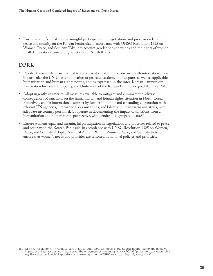<span id="page-42-0"></span>• Ensure women's equal and meaningful participation in negotiations and processes related to peace and security on the Korean Peninsula, in accordance with UNSC Resolution 1325 on Women, Peace, and Security. Take into account gender considerations and the rights of women in all deliberations concerning sanctions on North Korea.

#### **DPRK**

- Resolve the security crisis that led to the current situation in accordance with international law, in particular the UN Charter obligation of peaceful settlement of disputes as well as applicable humanitarian and human rights norms, and as expressed in the inter-Korean Panmunjom Declaration for Peace, Prosperity, and Unification of the Korean Peninsula signed April 28, 2018.
- Adopt urgently, in interim, all measures available to mitigate and eliminate the adverse consequences of sanctions on the humanitarian and human rights situation in North Korea. Proactively enable international support by further initiating and expanding cooperation with relevant UN agencies, international organizations, and bilateral humanitarian initiatives, with adequate in-country personnel. Cooperate in documenting the impact of sanctions from a humanitarian and human rights perspective, with gender-disaggregated data.<sup>169</sup>
- Ensure women's equal and meaningful participation in negotiations and processes related to peace and security on the Korean Peninsula, in accordance with UNSC Resolution 1325 on Women, Peace, and Security. Adopt a National Action Plan on Women, Peace, and Security to better ensure that women's needs and priorities are reflected in national policies and priorities.

<sup>169</sup> UNHRC Resolution A/HRC/RES/34/13, Mar. 24, 2017, para. 17; Report of the Special Rapporteur on the negative impact of unilateral coercive measures on the enjoyment of human rights, A/HRC/36/44, Jul. 26, 2017, Appendix II, A.5; Report of the Special Rapporteur on human rights in the DPRK, A/72/394, Sep. 18, 2017, para. 6.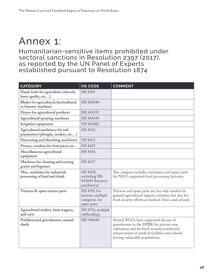# <span id="page-43-0"></span>Annex 1:

Humanitarian-sensitive items prohibited under sectoral sanctions in Resolution 2397 (2017), as reported by the UN Panel of Experts established pursuant to Resolution 1874

| <b>CATEGORY</b>                                                        | <b>HS CODE</b>                                                     | <b>COMMENT</b>                                                                                                                                                                                                          |
|------------------------------------------------------------------------|--------------------------------------------------------------------|-------------------------------------------------------------------------------------------------------------------------------------------------------------------------------------------------------------------------|
| Hand-tools for agriculture (shovels,<br>hoes, spades, etc)             | <b>HS 8201</b>                                                     |                                                                                                                                                                                                                         |
| Blades for agricultural, horticultural<br>or forestry machines         | HS 820840                                                          |                                                                                                                                                                                                                         |
| Dryers for agricultural products                                       | HS 841931                                                          |                                                                                                                                                                                                                         |
| Agricultural spraying machines                                         | HS 842449                                                          |                                                                                                                                                                                                                         |
| Irrigation equipment                                                   | HS 842482                                                          |                                                                                                                                                                                                                         |
| Agricultural machinery for soil<br>preparation (ploughs, seeders, etc) | <b>HS 8432</b>                                                     |                                                                                                                                                                                                                         |
| Harvesting and threshing machinery                                     | <b>HS 8433</b>                                                     |                                                                                                                                                                                                                         |
| Presses, crushers for fruit juices etc                                 | <b>HS 8435</b>                                                     |                                                                                                                                                                                                                         |
| Miscellaneous agricultural<br>equipment                                | <b>HS 8436</b>                                                     |                                                                                                                                                                                                                         |
| Machines for cleaning and sorting<br>grains and legumes                | <b>HS 8437</b>                                                     |                                                                                                                                                                                                                         |
| Misc. machines for industrial<br>processing of food and drink          | HS 8438,<br>excluding HS<br>843840 (brewery<br>machinery)          | This category includes machinery and spare parts<br>for NGO-supported food processing factories.                                                                                                                        |
| Tractors & spare tractor parts                                         | HS 8701 for<br>tractors, multiple<br>categories for<br>spare parts | Tractors and spare parts are not only needed for<br>general agricultural support activities, but also for<br>food security efforts at medical clinics and schools.                                                      |
| Agricultural trailers, farm wagons,<br>and carts                       | HS 8716, multiple<br>subheadings                                   |                                                                                                                                                                                                                         |
| Prefabricated greenhouses, animal<br>sheds                             | HS 940690                                                          | Several NGOs have supported the use of<br>greenhouses in the DPRK for private crop<br>cultivation and for food security/nutritional<br>enhancement at medical facilities and schools<br>serving vulnerable populations. |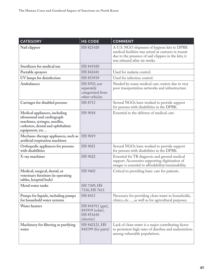| <b>CATEGORY</b>                                                                                                                                   | <b>HS CODE</b>                                                   | <b>COMMENT</b>                                                                                                                                                                              |
|---------------------------------------------------------------------------------------------------------------------------------------------------|------------------------------------------------------------------|---------------------------------------------------------------------------------------------------------------------------------------------------------------------------------------------|
| Nail clippers                                                                                                                                     | HS 821420                                                        | A U.S. NGO shipment of hygiene kits to DPRK<br>medical facilities was seized at customs in transit<br>due to the presence of nail clippers in the kits; it<br>was released after six weeks. |
| Sterilizers for medical use                                                                                                                       | HS 841920                                                        |                                                                                                                                                                                             |
| Portable sprayers                                                                                                                                 | HS 842441                                                        | Used for malaria control.                                                                                                                                                                   |
| UV lamps for disinfection                                                                                                                         | HS 853939                                                        | Used for infection control.                                                                                                                                                                 |
| Ambulances                                                                                                                                        | HS 8703, not<br>separately<br>categorized from<br>other vehicles | Needed by many medical care centers due to very<br>poor transportation networks and infrastructure.                                                                                         |
| Carriages for disabled persons                                                                                                                    | HS 8713                                                          | Several NGOs have worked to provide support<br>for persons with disabilities in the DPRK.                                                                                                   |
| Medical appliances, including<br>ultrasound and cardiograph<br>machines, syringes, needles,<br>catheters, dental and ophthalmic<br>equipment, etc | <b>HS 9018</b>                                                   | Essential to the delivery of medical care.                                                                                                                                                  |
| Mechano-therapy appliances, such as<br>artificial respiration machines                                                                            | HS 9019                                                          |                                                                                                                                                                                             |
| Orthopedic appliances for persons<br>with disabilities                                                                                            | HS 9021                                                          | Several NGOs have worked to provide support<br>for persons with disabilities in the DPRK.                                                                                                   |
| X-ray machines                                                                                                                                    | HS 9022                                                          | Essential for TB diagnosis and general medical<br>support. Accessories supporting digitization of<br>images is essential to affordability/sustainability.                                   |
| Medical, surgical, dental, or<br>veterinary furniture (ie operating<br>tables, hospital beds)                                                     | HS 9402                                                          | Critical to providing basic care for patients.                                                                                                                                              |
| Metal water tanks                                                                                                                                 | HS 7309, HS<br>7310, HS 7611                                     |                                                                                                                                                                                             |
| Pumps for liquids, including pumps<br>for household water systems                                                                                 | HS 8413                                                          | Necessary for providing clean water to households,<br>clinics, etc, as well as for agricultural purposes.                                                                                   |
| Water heaters                                                                                                                                     | HS 841911 (gas),<br>841919 (solar),<br>HS 851610<br>(electric)   |                                                                                                                                                                                             |
| Machinery for filtering or purifying<br>water                                                                                                     | HS 842121, HS<br>842199 (for parts)                              | Lack of clean water is a major contributing factor<br>to persistent high rates of diarrhea and malnutrition<br>among vulnerable populations.                                                |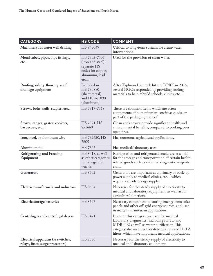| <b>CATEGORY</b>                                                        | <b>HS CODE</b>                                                                                 | <b>COMMENT</b>                                                                                                                                                                                                                                          |
|------------------------------------------------------------------------|------------------------------------------------------------------------------------------------|---------------------------------------------------------------------------------------------------------------------------------------------------------------------------------------------------------------------------------------------------------|
| Machinery for water well drilling                                      | HS 843049                                                                                      | Critical to long-term sustainable clean-water<br>interventions.                                                                                                                                                                                         |
| Metal tubes, pipes, pipe fittings,<br>etc                              | HS 7303-7307<br>(iron and steel);<br>separate HS<br>codes for copper,<br>aluminum, lead<br>etc | Used for the provision of clean water.                                                                                                                                                                                                                  |
| Roofing, siding, flooring, roof<br>drainage equipment                  | Included in<br>HS 730890<br>(sheet metal)<br>and HS 761090<br>(aluminum)                       | After Typhoon Lionrock hit the DPRK in 2016,<br>several NGOs responded by providing roofing<br>materials to help rebuild schools, clinics, etc                                                                                                          |
| Screws, bolts, nails, staples, etc                                     | HS 7317-7318                                                                                   | These are common items which are often<br>components of humanitarian-sensitive goods, or<br>part of the packaging thereof                                                                                                                               |
| Stoves, ranges, grates, cookers,<br>barbecues, etc                     | HS 7321, HS<br>851660                                                                          | Clean cook stoves provide significant health and<br>environmental benefits, compared to cooking over<br>open fires.                                                                                                                                     |
| Iron, steel, or aluminum wire                                          | HS 732620, HS<br>7605                                                                          | Has numerous agricultural applications.                                                                                                                                                                                                                 |
| Aluminum foil                                                          | <b>HS 7607</b>                                                                                 | Has medical/laboratory uses.                                                                                                                                                                                                                            |
| <b>Refrigerating and Freezing</b><br>Equipment                         | HS 8418, as well<br>as other categories<br>for refrigerated<br>trucks.                         | Refrigeration and refrigerated trucks are essential<br>for the storage and transportation of certain health-<br>related goods such as vaccines, diagnostic reagents,<br>etc                                                                             |
| Generators                                                             | <b>HS 8502</b>                                                                                 | Generators are important as a primary or back-up<br>power supply to medical clinics, etc which<br>require a steady energy supply.                                                                                                                       |
| Electric transformers and inductors                                    | <b>HS 8504</b>                                                                                 | Necessary for the steady supply of electricity to<br>medical and laboratory equipment, as well as for<br>agricultural functions.                                                                                                                        |
| Electric storage batteries                                             | <b>HS 8507</b>                                                                                 | Necessary component to storing energy from solar<br>panels and other off-grid energy sources, and used<br>in many humanitarian applications.                                                                                                            |
| Centrifuges and centrifugal dryers                                     | HS 8421                                                                                        | Items in this category are used for medical<br>laboratory diagnostics (including for TB and<br>MDR-TB) as well as water purification. This<br>category also includes biosafety cabinets and HEPA<br>filters, which have important medical applications. |
| Electrical apparatus (ie switches,<br>relays, fuses, surge protectors) | HS 8536                                                                                        | Necessary for the steady supply of electricity to<br>medical and laboratory equipment.                                                                                                                                                                  |